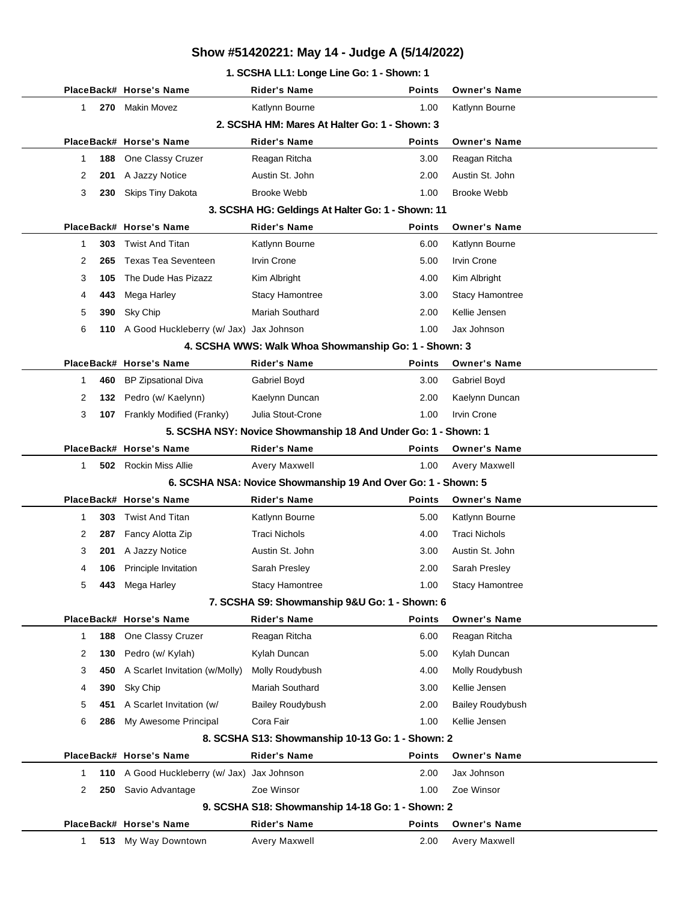### **1. SCSHA LL1: Longe Line Go: 1 - Shown: 1**

|              |     | PlaceBack# Horse's Name                                            | <b>Rider's Name</b>                                                     | <b>Points</b>         | <b>Owner's Name</b>                |
|--------------|-----|--------------------------------------------------------------------|-------------------------------------------------------------------------|-----------------------|------------------------------------|
| $\mathbf{1}$ | 270 | Makin Movez                                                        | Katlynn Bourne                                                          | 1.00                  | Katlynn Bourne                     |
|              |     |                                                                    | 2. SCSHA HM: Mares At Halter Go: 1 - Shown: 3                           |                       |                                    |
|              |     | PlaceBack# Horse's Name                                            | Rider's Name                                                            | <b>Points</b>         | <b>Owner's Name</b>                |
| $\mathbf{1}$ | 188 | One Classy Cruzer                                                  | Reagan Ritcha                                                           | 3.00                  | Reagan Ritcha                      |
| 2            | 201 | A Jazzy Notice                                                     | Austin St. John                                                         | 2.00                  | Austin St. John                    |
| 3            | 230 | Skips Tiny Dakota                                                  | <b>Brooke Webb</b>                                                      | 1.00                  | <b>Brooke Webb</b>                 |
|              |     |                                                                    | 3. SCSHA HG: Geldings At Halter Go: 1 - Shown: 11                       |                       |                                    |
|              |     | PlaceBack# Horse's Name                                            | <b>Rider's Name</b>                                                     | <b>Points</b>         | <b>Owner's Name</b>                |
| $\mathbf{1}$ | 303 | <b>Twist And Titan</b>                                             | Katlynn Bourne                                                          | 6.00                  | Katlynn Bourne                     |
| 2            | 265 | <b>Texas Tea Seventeen</b>                                         | <b>Irvin Crone</b>                                                      | 5.00                  | Irvin Crone                        |
| 3            | 105 | The Dude Has Pizazz                                                | Kim Albright                                                            | 4.00                  | Kim Albright                       |
| 4            | 443 | Mega Harley                                                        | Stacy Hamontree                                                         | 3.00                  | Stacy Hamontree                    |
| 5            | 390 | Sky Chip                                                           | Mariah Southard                                                         | 2.00                  | Kellie Jensen                      |
| 6            | 110 | A Good Huckleberry (w/ Jax) Jax Johnson                            |                                                                         | 1.00                  | Jax Johnson                        |
|              |     |                                                                    | 4. SCSHA WWS: Walk Whoa Showmanship Go: 1 - Shown: 3                    |                       |                                    |
|              |     | PlaceBack# Horse's Name                                            | <b>Rider's Name</b>                                                     | <b>Points</b>         | <b>Owner's Name</b>                |
| $\mathbf 1$  | 460 | <b>BP Zipsational Diva</b>                                         | Gabriel Boyd                                                            | 3.00                  | Gabriel Boyd                       |
| 2            | 132 | Pedro (w/ Kaelynn)                                                 | Kaelynn Duncan                                                          | 2.00                  | Kaelynn Duncan                     |
| 3            |     | 107 Frankly Modified (Franky)                                      | Julia Stout-Crone                                                       | 1.00                  | <b>Irvin Crone</b>                 |
|              |     |                                                                    | 5. SCSHA NSY: Novice Showmanship 18 And Under Go: 1 - Shown: 1          |                       |                                    |
|              |     | PlaceBack# Horse's Name                                            | <b>Rider's Name</b>                                                     | <b>Points</b>         | <b>Owner's Name</b>                |
| 1            |     | <b>502</b> Rockin Miss Allie                                       | Avery Maxwell                                                           | 1.00                  | Avery Maxwell                      |
|              |     |                                                                    | 6. SCSHA NSA: Novice Showmanship 19 And Over Go: 1 - Shown: 5           |                       |                                    |
|              |     | PlaceBack# Horse's Name                                            | <b>Rider's Name</b>                                                     | <b>Points</b>         | <b>Owner's Name</b>                |
| $\mathbf 1$  | 303 | <b>Twist And Titan</b>                                             | Katlynn Bourne                                                          | 5.00                  | Katlynn Bourne                     |
| 2            | 287 | Fancy Alotta Zip                                                   | <b>Traci Nichols</b>                                                    | 4.00                  | <b>Traci Nichols</b>               |
| 3            | 201 | A Jazzy Notice                                                     | Austin St. John                                                         | 3.00                  | Austin St. John                    |
| 4            | 106 | Principle Invitation                                               | Sarah Presley                                                           | 2.00                  | Sarah Presley                      |
| 5            | 443 | Mega Harley                                                        | <b>Stacy Hamontree</b>                                                  | 1.00                  | <b>Stacy Hamontree</b>             |
|              |     |                                                                    | 7. SCSHA S9: Showmanship 9&U Go: 1 - Shown: 6                           |                       |                                    |
|              |     | PlaceBack# Horse's Name                                            | <b>Rider's Name</b>                                                     | <b>Points</b>         | <b>Owner's Name</b>                |
| $\mathbf{1}$ | 188 | One Classy Cruzer                                                  | Reagan Ritcha                                                           | 6.00                  | Reagan Ritcha                      |
| 2            | 130 | Pedro (w/ Kylah)                                                   | Kylah Duncan                                                            | 5.00                  | Kylah Duncan                       |
| 3            | 450 | A Scarlet Invitation (w/Molly)                                     | Molly Roudybush                                                         | 4.00                  | Molly Roudybush                    |
| 4            | 390 | Sky Chip                                                           | Mariah Southard                                                         | 3.00                  | Kellie Jensen                      |
| 5            | 451 | A Scarlet Invitation (w/                                           | <b>Bailey Roudybush</b>                                                 | 2.00                  | <b>Bailey Roudybush</b>            |
| 6            | 286 | My Awesome Principal                                               | Cora Fair                                                               | 1.00                  | Kellie Jensen                      |
|              |     |                                                                    | 8. SCSHA S13: Showmanship 10-13 Go: 1 - Shown: 2                        |                       |                                    |
| $\mathbf{1}$ | 110 | PlaceBack# Horse's Name<br>A Good Huckleberry (w/ Jax) Jax Johnson | <b>Rider's Name</b>                                                     | <b>Points</b><br>2.00 | <b>Owner's Name</b><br>Jax Johnson |
| 2            | 250 | Savio Advantage                                                    | Zoe Winsor                                                              | 1.00                  | Zoe Winsor                         |
|              |     |                                                                    |                                                                         |                       |                                    |
|              |     | PlaceBack# Horse's Name                                            | 9. SCSHA S18: Showmanship 14-18 Go: 1 - Shown: 2<br><b>Rider's Name</b> | <b>Points</b>         | <b>Owner's Name</b>                |
| $\mathbf 1$  |     |                                                                    |                                                                         | 2.00                  |                                    |
|              |     | 513 My Way Downtown                                                | Avery Maxwell                                                           |                       | Avery Maxwell                      |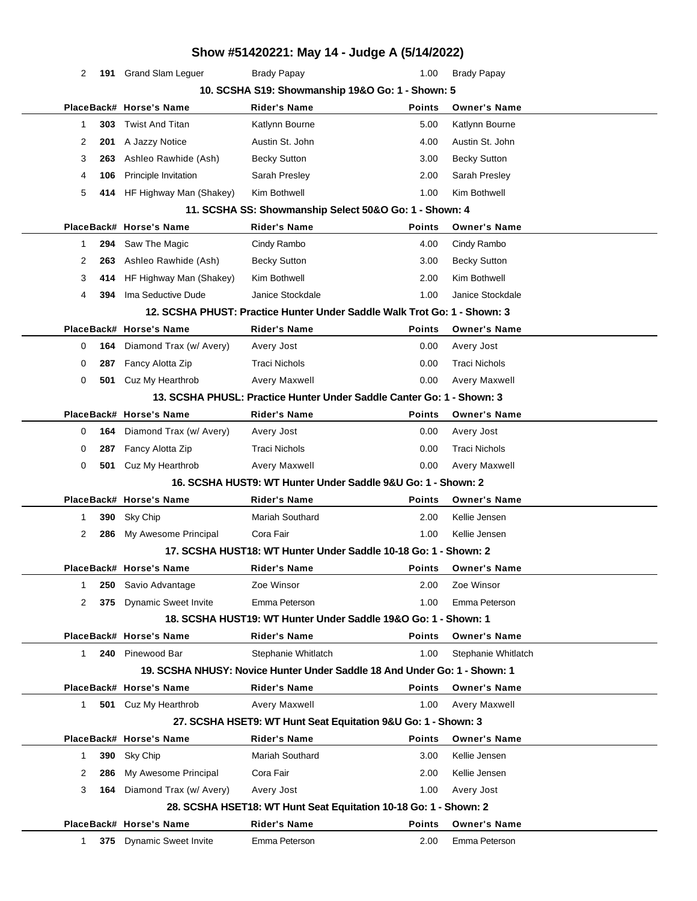|              |       |                             | Show #51420221: May 14 - Judge A (5/14/2022)                              |               |                      |  |
|--------------|-------|-----------------------------|---------------------------------------------------------------------------|---------------|----------------------|--|
| 2            |       | 191 Grand Slam Leguer       | <b>Brady Papay</b>                                                        | 1.00          | <b>Brady Papay</b>   |  |
|              |       |                             | 10. SCSHA S19: Showmanship 19&O Go: 1 - Shown: 5                          |               |                      |  |
|              |       | PlaceBack# Horse's Name     | <b>Rider's Name</b>                                                       | <b>Points</b> | <b>Owner's Name</b>  |  |
| 1            | 303   | <b>Twist And Titan</b>      | Katlynn Bourne                                                            | 5.00          | Katlynn Bourne       |  |
| 2            | 201   | A Jazzy Notice              | Austin St. John                                                           | 4.00          | Austin St. John      |  |
| 3            | 263   | Ashleo Rawhide (Ash)        | <b>Becky Sutton</b>                                                       | 3.00          | <b>Becky Sutton</b>  |  |
| 4            | 106   | Principle Invitation        | Sarah Presley                                                             | 2.00          | Sarah Presley        |  |
| 5            | 414   | HF Highway Man (Shakey)     | Kim Bothwell                                                              | 1.00          | Kim Bothwell         |  |
|              |       |                             | 11. SCSHA SS: Showmanship Select 50&O Go: 1 - Shown: 4                    |               |                      |  |
|              |       | PlaceBack# Horse's Name     | <b>Rider's Name</b>                                                       | <b>Points</b> | <b>Owner's Name</b>  |  |
| 1            | 294   | Saw The Magic               | Cindy Rambo                                                               | 4.00          | Cindy Rambo          |  |
| 2            | 263   | Ashleo Rawhide (Ash)        | <b>Becky Sutton</b>                                                       | 3.00          | <b>Becky Sutton</b>  |  |
| 3            | 414   | HF Highway Man (Shakey)     | Kim Bothwell                                                              | 2.00          | Kim Bothwell         |  |
| 4            | 394   | Ima Seductive Dude          | Janice Stockdale                                                          | 1.00          | Janice Stockdale     |  |
|              |       |                             | 12. SCSHA PHUST: Practice Hunter Under Saddle Walk Trot Go: 1 - Shown: 3  |               |                      |  |
|              |       | PlaceBack# Horse's Name     | <b>Rider's Name</b>                                                       | Points        | <b>Owner's Name</b>  |  |
| 0            | 164   | Diamond Trax (w/ Avery)     | Avery Jost                                                                | 0.00          | Avery Jost           |  |
| 0            | 287   | Fancy Alotta Zip            | <b>Traci Nichols</b>                                                      | 0.00          | <b>Traci Nichols</b> |  |
| 0            | 501   | Cuz My Hearthrob            | Avery Maxwell                                                             | 0.00          | <b>Avery Maxwell</b> |  |
|              |       |                             | 13. SCSHA PHUSL: Practice Hunter Under Saddle Canter Go: 1 - Shown: 3     |               |                      |  |
|              |       | PlaceBack# Horse's Name     | <b>Rider's Name</b>                                                       | <b>Points</b> | <b>Owner's Name</b>  |  |
| 0            | 164   | Diamond Trax (w/ Avery)     | Avery Jost                                                                | 0.00          | Avery Jost           |  |
| 0            | 287   | Fancy Alotta Zip            | <b>Traci Nichols</b>                                                      | 0.00          | <b>Traci Nichols</b> |  |
| 0            | 501   | Cuz My Hearthrob            | Avery Maxwell                                                             | 0.00          | <b>Avery Maxwell</b> |  |
|              |       |                             | 16. SCSHA HUST9: WT Hunter Under Saddle 9&U Go: 1 - Shown: 2              |               |                      |  |
|              |       | PlaceBack# Horse's Name     | Rider's Name                                                              | <b>Points</b> | <b>Owner's Name</b>  |  |
| 1            | 390   | Sky Chip                    | Mariah Southard                                                           | 2.00          | Kellie Jensen        |  |
| 2            | 286   | My Awesome Principal        | Cora Fair                                                                 | 1.00          | Kellie Jensen        |  |
|              |       |                             | 17. SCSHA HUST18: WT Hunter Under Saddle 10-18 Go: 1 - Shown: 2           |               |                      |  |
|              |       | PlaceBack# Horse's Name     | Rider's Name                                                              | <b>Points</b> | <b>Owner's Name</b>  |  |
| 1            | 250   | Savio Advantage             | Zoe Winsor                                                                | 2.00          | Zoe Winsor           |  |
| 2            | 375   | <b>Dynamic Sweet Invite</b> | Emma Peterson                                                             | 1.00          | Emma Peterson        |  |
|              |       |                             | 18. SCSHA HUST19: WT Hunter Under Saddle 19&O Go: 1 - Shown: 1            |               |                      |  |
|              |       | PlaceBack# Horse's Name     | <b>Rider's Name</b>                                                       | Points        | <b>Owner's Name</b>  |  |
| $\mathbf{1}$ |       | 240 Pinewood Bar            | Stephanie Whitlatch                                                       | 1.00          | Stephanie Whitlatch  |  |
|              |       |                             | 19. SCSHA NHUSY: Novice Hunter Under Saddle 18 And Under Go: 1 - Shown: 1 |               |                      |  |
|              |       | PlaceBack# Horse's Name     | <b>Rider's Name</b>                                                       | <b>Points</b> | <b>Owner's Name</b>  |  |
| 1.           |       | <b>501</b> Cuz My Hearthrob | Avery Maxwell                                                             | 1.00          | Avery Maxwell        |  |
|              |       |                             | 27. SCSHA HSET9: WT Hunt Seat Equitation 9&U Go: 1 - Shown: 3             |               |                      |  |
|              |       | PlaceBack# Horse's Name     | <b>Rider's Name</b>                                                       | Points        | <b>Owner's Name</b>  |  |
| 1            | 390 l | Sky Chip                    | <b>Mariah Southard</b>                                                    | 3.00          | Kellie Jensen        |  |
| 2            | 286   | My Awesome Principal        | Cora Fair                                                                 | 2.00          | Kellie Jensen        |  |
| 3            | 164   | Diamond Trax (w/ Avery)     | Avery Jost                                                                | 1.00          | Avery Jost           |  |
|              |       |                             | 28. SCSHA HSET18: WT Hunt Seat Equitation 10-18 Go: 1 - Shown: 2          |               |                      |  |
|              |       | PlaceBack# Horse's Name     | <b>Rider's Name</b>                                                       | <b>Points</b> | <b>Owner's Name</b>  |  |
| 1            |       | 375 Dynamic Sweet Invite    | Emma Peterson                                                             | 2.00          | Emma Peterson        |  |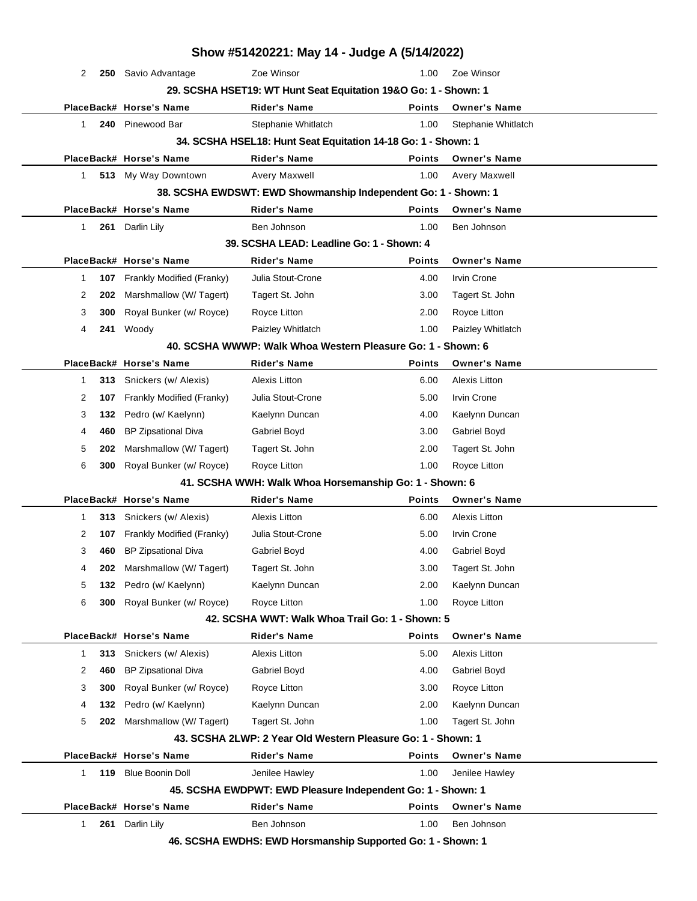|              |     |                            |                                           | Show #51420221: May 14 - Judge A (5/14/2022)                    |                      |  |
|--------------|-----|----------------------------|-------------------------------------------|-----------------------------------------------------------------|----------------------|--|
| 2            |     | 250 Savio Advantage        | Zoe Winsor                                | 1.00                                                            | Zoe Winsor           |  |
|              |     |                            |                                           | 29. SCSHA HSET19: WT Hunt Seat Equitation 19&O Go: 1 - Shown: 1 |                      |  |
|              |     | PlaceBack# Horse's Name    | <b>Rider's Name</b>                       | Points                                                          | <b>Owner's Name</b>  |  |
| 1            | 240 | Pinewood Bar               | Stephanie Whitlatch                       | 1.00                                                            | Stephanie Whitlatch  |  |
|              |     |                            |                                           | 34. SCSHA HSEL18: Hunt Seat Equitation 14-18 Go: 1 - Shown: 1   |                      |  |
|              |     | PlaceBack# Horse's Name    | <b>Rider's Name</b>                       | <b>Points</b>                                                   | <b>Owner's Name</b>  |  |
| $\mathbf{1}$ |     | 513 My Way Downtown        | Avery Maxwell                             | 1.00                                                            | Avery Maxwell        |  |
|              |     |                            |                                           | 38. SCSHA EWDSWT: EWD Showmanship Independent Go: 1 - Shown: 1  |                      |  |
|              |     | PlaceBack# Horse's Name    | <b>Rider's Name</b>                       | <b>Points</b>                                                   | <b>Owner's Name</b>  |  |
| 1            |     | 261 Darlin Lily            | Ben Johnson                               | 1.00                                                            | Ben Johnson          |  |
|              |     |                            | 39. SCSHA LEAD: Leadline Go: 1 - Shown: 4 |                                                                 |                      |  |
|              |     | PlaceBack# Horse's Name    | <b>Rider's Name</b>                       | <b>Points</b>                                                   | <b>Owner's Name</b>  |  |
| $\mathbf 1$  | 107 | Frankly Modified (Franky)  | Julia Stout-Crone                         | 4.00                                                            | Irvin Crone          |  |
| 2            | 202 | Marshmallow (W/ Tagert)    | Tagert St. John                           | 3.00                                                            | Tagert St. John      |  |
| 3            | 300 | Royal Bunker (w/ Royce)    | Royce Litton                              | 2.00                                                            | Royce Litton         |  |
| 4            |     | 241 Woody                  | Paizley Whitlatch                         | 1.00                                                            | Paizley Whitlatch    |  |
|              |     |                            |                                           | 40. SCSHA WWWP: Walk Whoa Western Pleasure Go: 1 - Shown: 6     |                      |  |
|              |     | PlaceBack# Horse's Name    | <b>Rider's Name</b>                       | <b>Points</b>                                                   | <b>Owner's Name</b>  |  |
| 1            | 313 | Snickers (w/ Alexis)       | <b>Alexis Litton</b>                      | 6.00                                                            | <b>Alexis Litton</b> |  |
| 2            | 107 | Frankly Modified (Franky)  | Julia Stout-Crone                         | 5.00                                                            | <b>Irvin Crone</b>   |  |
| 3            | 132 | Pedro (w/ Kaelynn)         | Kaelynn Duncan                            | 4.00                                                            | Kaelynn Duncan       |  |
| 4            | 460 | <b>BP Zipsational Diva</b> | Gabriel Boyd                              | 3.00                                                            | Gabriel Boyd         |  |
| 5            | 202 | Marshmallow (W/ Tagert)    | Tagert St. John                           | 2.00                                                            | Tagert St. John      |  |
| 6            | 300 | Royal Bunker (w/ Royce)    | Royce Litton                              | 1.00                                                            | Royce Litton         |  |
|              |     |                            |                                           | 41. SCSHA WWH: Walk Whoa Horsemanship Go: 1 - Shown: 6          |                      |  |
|              |     | PlaceBack# Horse's Name    | <b>Rider's Name</b>                       | <b>Points</b>                                                   | <b>Owner's Name</b>  |  |
| 1            | 313 | Snickers (w/ Alexis)       | <b>Alexis Litton</b>                      | 6.00                                                            | <b>Alexis Litton</b> |  |
| 2            | 107 | Frankly Modified (Franky)  | Julia Stout-Crone                         | 5.00                                                            | <b>Irvin Crone</b>   |  |
| 3            | 460 | <b>BP Zipsational Diva</b> | Gabriel Boyd                              | 4.00                                                            | Gabriel Boyd         |  |
| 4            | 202 | Marshmallow (W/ Tagert)    | Tagert St. John                           | 3.00                                                            | Tagert St. John      |  |
| 5            | 132 | Pedro (w/ Kaelynn)         | Kaelynn Duncan                            | 2.00                                                            | Kaelynn Duncan       |  |
| 6            | 300 | Royal Bunker (w/ Royce)    | Royce Litton                              | 1.00                                                            | Royce Litton         |  |
|              |     |                            |                                           | 42. SCSHA WWT: Walk Whoa Trail Go: 1 - Shown: 5                 |                      |  |
|              |     | PlaceBack# Horse's Name    | <b>Rider's Name</b>                       | <b>Points</b>                                                   | <b>Owner's Name</b>  |  |
| 1            | 313 | Snickers (w/ Alexis)       | <b>Alexis Litton</b>                      | 5.00                                                            | <b>Alexis Litton</b> |  |
| 2            | 460 | <b>BP Zipsational Diva</b> | Gabriel Boyd                              | 4.00                                                            | Gabriel Boyd         |  |
| 3            | 300 | Royal Bunker (w/ Royce)    | Royce Litton                              | 3.00                                                            | Royce Litton         |  |
| 4            | 132 | Pedro (w/ Kaelynn)         | Kaelynn Duncan                            | 2.00                                                            | Kaelynn Duncan       |  |
| 5            | 202 | Marshmallow (W/ Tagert)    | Tagert St. John                           | 1.00                                                            | Tagert St. John      |  |
|              |     |                            |                                           | 43. SCSHA 2LWP: 2 Year Old Western Pleasure Go: 1 - Shown: 1    |                      |  |
|              |     | PlaceBack# Horse's Name    | <b>Rider's Name</b>                       | <b>Points</b>                                                   | <b>Owner's Name</b>  |  |
| 1            | 119 | <b>Blue Boonin Doll</b>    | Jenilee Hawley                            | 1.00                                                            | Jenilee Hawley       |  |
|              |     |                            |                                           | 45. SCSHA EWDPWT: EWD Pleasure Independent Go: 1 - Shown: 1     |                      |  |
|              |     | PlaceBack# Horse's Name    | <b>Rider's Name</b>                       | <b>Points</b>                                                   | <b>Owner's Name</b>  |  |
| 1            | 261 | Darlin Lily                | Ben Johnson                               | 1.00                                                            | Ben Johnson          |  |
|              |     |                            |                                           | 46. SCSHA EWDHS: EWD Horsmanship Supported Go: 1 - Shown: 1     |                      |  |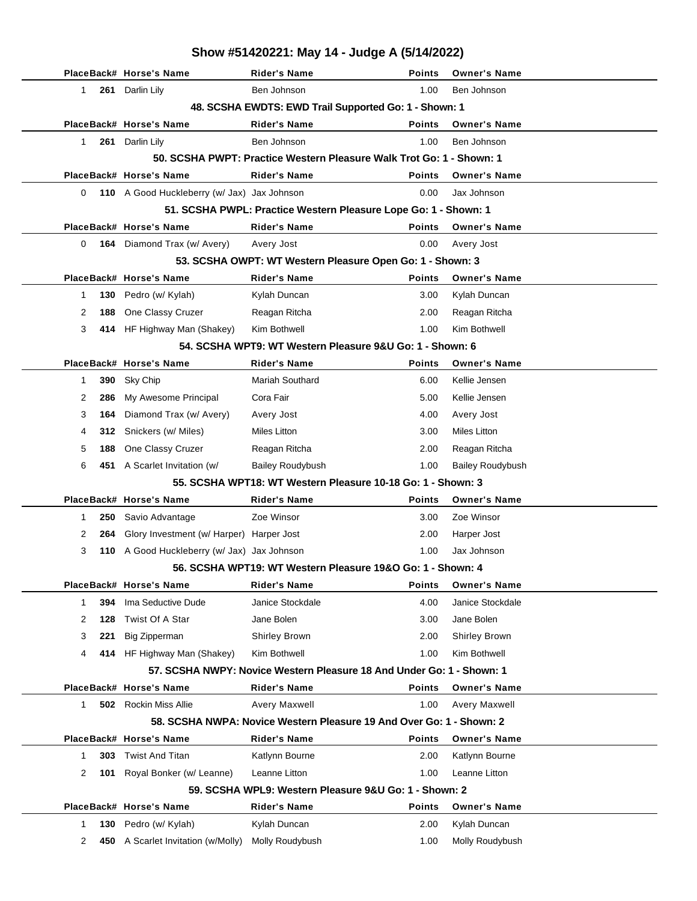|              |     | PlaceBack# Horse's Name                     | Rider's Name                                                          | Points        | <b>Owner's Name</b>     |
|--------------|-----|---------------------------------------------|-----------------------------------------------------------------------|---------------|-------------------------|
| $\mathbf{1}$ |     | 261 Darlin Lily                             | Ben Johnson                                                           | 1.00          | Ben Johnson             |
|              |     |                                             | 48. SCSHA EWDTS: EWD Trail Supported Go: 1 - Shown: 1                 |               |                         |
|              |     | PlaceBack# Horse's Name                     | <b>Rider's Name</b>                                                   | <b>Points</b> | <b>Owner's Name</b>     |
| 1            |     | 261 Darlin Lily                             | Ben Johnson                                                           | 1.00          | Ben Johnson             |
|              |     |                                             | 50. SCSHA PWPT: Practice Western Pleasure Walk Trot Go: 1 - Shown: 1  |               |                         |
|              |     | PlaceBack# Horse's Name                     | <b>Rider's Name</b>                                                   | <b>Points</b> | <b>Owner's Name</b>     |
| 0            |     | 110 A Good Huckleberry (w/ Jax) Jax Johnson |                                                                       | 0.00          | Jax Johnson             |
|              |     |                                             | 51. SCSHA PWPL: Practice Western Pleasure Lope Go: 1 - Shown: 1       |               |                         |
|              |     | PlaceBack# Horse's Name                     | <b>Rider's Name</b>                                                   | <b>Points</b> | <b>Owner's Name</b>     |
| 0            |     | 164 Diamond Trax (w/ Avery)                 | Avery Jost                                                            | 0.00          | Avery Jost              |
|              |     |                                             | 53. SCSHA OWPT: WT Western Pleasure Open Go: 1 - Shown: 3             |               |                         |
|              |     | PlaceBack# Horse's Name                     | <b>Rider's Name</b>                                                   | <b>Points</b> | <b>Owner's Name</b>     |
| 1            | 130 | Pedro (w/ Kylah)                            | Kylah Duncan                                                          | 3.00          | Kylah Duncan            |
| 2            | 188 | One Classy Cruzer                           | Reagan Ritcha                                                         | 2.00          | Reagan Ritcha           |
| 3            |     | 414 HF Highway Man (Shakey)                 | Kim Bothwell                                                          | 1.00          | Kim Bothwell            |
|              |     |                                             | 54. SCSHA WPT9: WT Western Pleasure 9&U Go: 1 - Shown: 6              |               |                         |
|              |     | PlaceBack# Horse's Name                     | <b>Rider's Name</b>                                                   | <b>Points</b> | <b>Owner's Name</b>     |
| 1            | 390 | Sky Chip                                    | Mariah Southard                                                       | 6.00          | Kellie Jensen           |
| 2            | 286 | My Awesome Principal                        | Cora Fair                                                             | 5.00          | Kellie Jensen           |
| 3            | 164 | Diamond Trax (w/ Avery)                     | Avery Jost                                                            | 4.00          | Avery Jost              |
| 4            | 312 | Snickers (w/ Miles)                         | Miles Litton                                                          | 3.00          | Miles Litton            |
| 5            | 188 | One Classy Cruzer                           | Reagan Ritcha                                                         | 2.00          | Reagan Ritcha           |
| 6            |     | 451 A Scarlet Invitation (w/                | <b>Bailey Roudybush</b>                                               | 1.00          | <b>Bailey Roudybush</b> |
|              |     |                                             | 55. SCSHA WPT18: WT Western Pleasure 10-18 Go: 1 - Shown: 3           |               |                         |
|              |     | PlaceBack# Horse's Name                     | <b>Rider's Name</b>                                                   | <b>Points</b> | <b>Owner's Name</b>     |
| 1            | 250 | Savio Advantage                             | Zoe Winsor                                                            | 3.00          | Zoe Winsor              |
| 2            | 264 | Glory Investment (w/ Harper) Harper Jost    |                                                                       | 2.00          | Harper Jost             |
| 3            |     | 110 A Good Huckleberry (w/ Jax) Jax Johnson |                                                                       | 1.00          | Jax Johnson             |
|              |     |                                             | 56. SCSHA WPT19: WT Western Pleasure 19&O Go: 1 - Shown: 4            |               |                         |
|              |     | PlaceBack# Horse's Name                     | Rider's Name                                                          | Points        | <b>Owner's Name</b>     |
| 1            | 394 | Ima Seductive Dude                          | Janice Stockdale                                                      | 4.00          | Janice Stockdale        |
| 2            | 128 | Twist Of A Star                             | Jane Bolen                                                            | 3.00          | Jane Bolen              |
| 3            | 221 | <b>Big Zipperman</b>                        | Shirley Brown                                                         | 2.00          | Shirley Brown           |
| 4            |     | 414 HF Highway Man (Shakey)                 | Kim Bothwell                                                          | 1.00          | Kim Bothwell            |
|              |     |                                             | 57. SCSHA NWPY: Novice Western Pleasure 18 And Under Go: 1 - Shown: 1 |               |                         |
|              |     | PlaceBack# Horse's Name                     | <b>Rider's Name</b>                                                   | <b>Points</b> | <b>Owner's Name</b>     |
| $\mathbf{1}$ |     | <b>502</b> Rockin Miss Allie                | <b>Avery Maxwell</b>                                                  | 1.00          | Avery Maxwell           |
|              |     |                                             | 58. SCSHA NWPA: Novice Western Pleasure 19 And Over Go: 1 - Shown: 2  |               |                         |
|              |     | PlaceBack# Horse's Name                     | <b>Rider's Name</b>                                                   | <b>Points</b> | <b>Owner's Name</b>     |
| 1            | 303 | <b>Twist And Titan</b>                      | Katlynn Bourne                                                        | 2.00          | Katlynn Bourne          |
| 2            | 101 | Royal Bonker (w/ Leanne)                    | Leanne Litton                                                         | 1.00          | Leanne Litton           |
|              |     |                                             | 59. SCSHA WPL9: Western Pleasure 9&U Go: 1 - Shown: 2                 |               |                         |
|              |     | PlaceBack# Horse's Name                     | <b>Rider's Name</b>                                                   | <b>Points</b> | <b>Owner's Name</b>     |
| 1            | 130 | Pedro (w/ Kylah)                            | Kylah Duncan                                                          | 2.00          | Kylah Duncan            |
| 2            | 450 | A Scarlet Invitation (w/Molly)              | Molly Roudybush                                                       | 1.00          | Molly Roudybush         |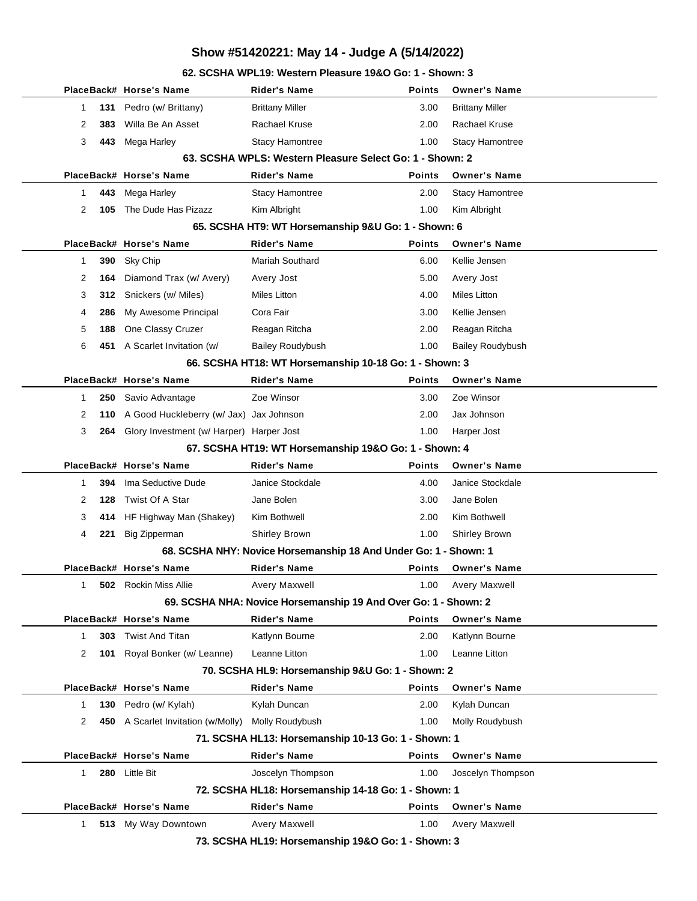**62. SCSHA WPL19: Western Pleasure 19&O Go: 1 - Shown: 3**

|   |     | PlaceBack# Horse's Name                      | Rider's Name                                                     | <b>Points</b> | <b>Owner's Name</b>     |  |
|---|-----|----------------------------------------------|------------------------------------------------------------------|---------------|-------------------------|--|
| 1 | 131 | Pedro (w/ Brittany)                          | <b>Brittany Miller</b>                                           | 3.00          | <b>Brittany Miller</b>  |  |
| 2 | 383 | Willa Be An Asset                            | Rachael Kruse                                                    | 2.00          | <b>Rachael Kruse</b>    |  |
| 3 | 443 | Mega Harley                                  | <b>Stacy Hamontree</b>                                           | 1.00          | <b>Stacy Hamontree</b>  |  |
|   |     |                                              | 63. SCSHA WPLS: Western Pleasure Select Go: 1 - Shown: 2         |               |                         |  |
|   |     | PlaceBack# Horse's Name                      | <b>Rider's Name</b>                                              | Points        | <b>Owner's Name</b>     |  |
| 1 | 443 | Mega Harley                                  | <b>Stacy Hamontree</b>                                           | 2.00          | <b>Stacy Hamontree</b>  |  |
| 2 | 105 | The Dude Has Pizazz                          | Kim Albright                                                     | 1.00          | Kim Albright            |  |
|   |     |                                              | 65. SCSHA HT9: WT Horsemanship 9&U Go: 1 - Shown: 6              |               |                         |  |
|   |     | PlaceBack# Horse's Name                      | <b>Rider's Name</b>                                              | <b>Points</b> | <b>Owner's Name</b>     |  |
| 1 | 390 | Sky Chip                                     | Mariah Southard                                                  | 6.00          | Kellie Jensen           |  |
| 2 | 164 | Diamond Trax (w/ Avery)                      | Avery Jost                                                       | 5.00          | Avery Jost              |  |
| 3 |     | <b>312</b> Snickers (w/ Miles)               | Miles Litton                                                     | 4.00          | Miles Litton            |  |
| 4 | 286 | My Awesome Principal                         | Cora Fair                                                        | 3.00          | Kellie Jensen           |  |
| 5 | 188 | One Classy Cruzer                            | Reagan Ritcha                                                    | 2.00          | Reagan Ritcha           |  |
| 6 |     | 451 A Scarlet Invitation (w/                 | <b>Bailey Roudybush</b>                                          | 1.00          | <b>Bailey Roudybush</b> |  |
|   |     |                                              | 66. SCSHA HT18: WT Horsemanship 10-18 Go: 1 - Shown: 3           |               |                         |  |
|   |     | PlaceBack# Horse's Name                      | <b>Rider's Name</b>                                              | <b>Points</b> | <b>Owner's Name</b>     |  |
| 1 | 250 | Savio Advantage                              | Zoe Winsor                                                       | 3.00          | Zoe Winsor              |  |
| 2 | 110 | A Good Huckleberry (w/ Jax) Jax Johnson      |                                                                  | 2.00          | Jax Johnson             |  |
| 3 |     | 264 Glory Investment (w/ Harper) Harper Jost |                                                                  | 1.00          | Harper Jost             |  |
|   |     |                                              | 67. SCSHA HT19: WT Horsemanship 19&O Go: 1 - Shown: 4            |               |                         |  |
|   |     | PlaceBack# Horse's Name                      | Rider's Name                                                     | <b>Points</b> | <b>Owner's Name</b>     |  |
| 1 | 394 | Ima Seductive Dude                           | Janice Stockdale                                                 | 4.00          | Janice Stockdale        |  |
| 2 | 128 | Twist Of A Star                              | Jane Bolen                                                       | 3.00          | Jane Bolen              |  |
| 3 | 414 | HF Highway Man (Shakey)                      | Kim Bothwell                                                     | 2.00          | Kim Bothwell            |  |
| 4 | 221 | <b>Big Zipperman</b>                         | <b>Shirley Brown</b>                                             | 1.00          | <b>Shirley Brown</b>    |  |
|   |     |                                              | 68. SCSHA NHY: Novice Horsemanship 18 And Under Go: 1 - Shown: 1 |               |                         |  |
|   |     | PlaceBack# Horse's Name                      | <b>Rider's Name</b>                                              | Points        | <b>Owner's Name</b>     |  |
| 1 |     | <b>502</b> Rockin Miss Allie                 | Avery Maxwell                                                    | 1.00          | Avery Maxwell           |  |
|   |     |                                              | 69. SCSHA NHA: Novice Horsemanship 19 And Over Go: 1 - Shown: 2  |               |                         |  |
|   |     | PlaceBack# Horse's Name                      | <b>Rider's Name</b>                                              | <b>Points</b> | <b>Owner's Name</b>     |  |
| 1 | 303 | <b>Twist And Titan</b>                       | Katlynn Bourne                                                   | 2.00          | Katlynn Bourne          |  |
| 2 | 101 | Royal Bonker (w/ Leanne)                     | Leanne Litton                                                    | 1.00          | Leanne Litton           |  |
|   |     |                                              | 70. SCSHA HL9: Horsemanship 9&U Go: 1 - Shown: 2                 |               |                         |  |
|   |     | PlaceBack# Horse's Name                      | <b>Rider's Name</b>                                              | <b>Points</b> | <b>Owner's Name</b>     |  |
| 1 | 130 | Pedro (w/ Kylah)                             | Kylah Duncan                                                     | 2.00          | Kylah Duncan            |  |
| 2 | 450 | A Scarlet Invitation (w/Molly)               | Molly Roudybush                                                  | 1.00          | Molly Roudybush         |  |
|   |     |                                              | 71. SCSHA HL13: Horsemanship 10-13 Go: 1 - Shown: 1              |               |                         |  |
|   |     | PlaceBack# Horse's Name                      | <b>Rider's Name</b>                                              | <b>Points</b> | <b>Owner's Name</b>     |  |
| 1 |     | 280 Little Bit                               | Joscelyn Thompson                                                | 1.00          | Joscelyn Thompson       |  |
|   |     |                                              | 72. SCSHA HL18: Horsemanship 14-18 Go: 1 - Shown: 1              |               |                         |  |
|   |     | PlaceBack# Horse's Name                      | <b>Rider's Name</b>                                              | <b>Points</b> | <b>Owner's Name</b>     |  |
| 1 |     | 513 My Way Downtown                          | Avery Maxwell                                                    | 1.00          | Avery Maxwell           |  |
|   |     |                                              |                                                                  |               |                         |  |

**73. SCSHA HL19: Horsemanship 19&O Go: 1 - Shown: 3**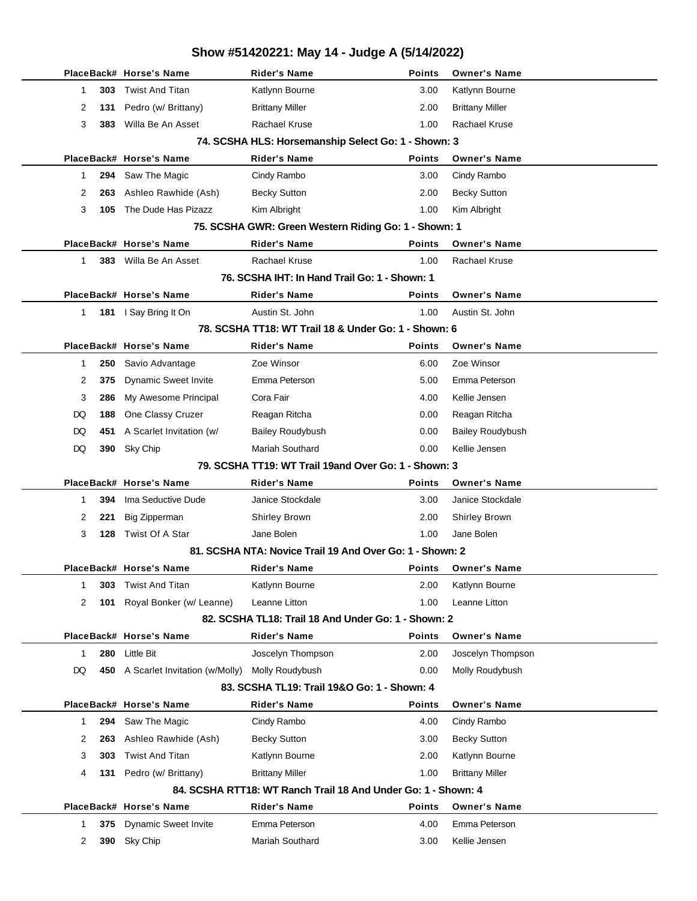### **Show #51420221: May 14 - Judge A (5/14/2022) PlaceBack# Horse's Name Rider's Name Points Owner's Name 1 1 303** Twist And Titan **Katlynn Bourne** 1 3.00 Katlynn Bourne 2 **131** Pedro (w/ Brittany) Brittany Miller 2.00 Brittany Miller 3 **383** Willa Be An Asset Rachael Kruse 1.00 Rachael Kruse **74. SCSHA HLS: Horsemanship Select Go: 1 - Shown: 3 PlaceBack# Horse's Name Rider's Name Points Owner's Name** 1 **294** Saw The Magic Cindy Rambo 3.00 Cindy Rambo 2 **263** Ashleo Rawhide (Ash) Becky Sutton 2.00 Becky Sutton 3 **105** The Dude Has Pizazz Kim Albright 1.00 Kim Albright **75. SCSHA GWR: Green Western Riding Go: 1 - Shown: 1 PlaceBack# Horse's Name Rider's Name Points Owner's Name** 1 **383** Willa Be An Asset Rachael Kruse 1.00 Rachael Kruse **76. SCSHA IHT: In Hand Trail Go: 1 - Shown: 1 PlaceBack# Horse's Name Rider's Name Points Owner's Name** 1 **181** I Say Bring It On Austin St. John 1.00 Austin St. John **78. SCSHA TT18: WT Trail 18 & Under Go: 1 - Shown: 6 PlaceBack# Horse's Name Rider's Name Points Owner's Name** 1 **250** Savio Advantage Zoe Winsor 6.00 Zoe Winsor 2 **375** Dynamic Sweet Invite Emma Peterson 5.00 Emma Peterson 3 **286** My Awesome Principal Cora Fair 4.00 Kellie Jensen DQ **188** One Classy Cruzer Reagan Ritcha 0.00 Reagan Ritcha DQ 451 A Scarlet Invitation (w/ Bailey Roudybush 0.00 Bailey Roudybush DQ 390 Sky Chip **Mariah Southard** 0.00 Kellie Jensen **79. SCSHA TT19: WT Trail 19and Over Go: 1 - Shown: 3 PlaceBack# Horse's Name Rider's Name Points Owner's Name** 1 **394** Ima Seductive Dude Janice Stockdale 3.00 Janice Stockdale 2 **221** Big Zipperman Shirley Brown 2.00 Shirley Brown 3 **128** Twist Of A Star **Jane Bolen** Jane Bolen 1.00 Jane Bolen **81. SCSHA NTA: Novice Trail 19 And Over Go: 1 - Shown: 2 PlaceBack# Horse's Name Rider's Name Points Owner's Name** 1 **303** Twist And Titan **Katlynn Bourne** 1 2.00 Katlynn Bourne 2 **101** Royal Bonker (w/ Leanne) Leanne Litton 1.00 Leanne Litton **82. SCSHA TL18: Trail 18 And Under Go: 1 - Shown: 2 PlaceBack# Horse's Name Rider's Name Points Owner's Name** 1 **280** Little Bit Joscelyn Thompson 2.00 Joscelyn Thompson DQ 450 A Scarlet Invitation (w/Molly) Molly Roudybush 0.00 Molly Roudybush **83. SCSHA TL19: Trail 19&O Go: 1 - Shown: 4 PlaceBack# Horse's Name Rider's Name Points Owner's Name** 1 **294** Saw The Magic Cindy Rambo **1 294** Saw The Magic Cindy Rambo **4.00** Cindy Rambo 2 **263** Ashleo Rawhide (Ash) Becky Sutton 3.00 Becky Sutton 3 **303** Twist And Titan **Katlynn Bourne Communist And Titan** Katlynn Bourne **2.00** Katlynn Bourne 4 **131** Pedro (w/ Brittany) Brittany Miller 1.00 Brittany Miller **84. SCSHA RTT18: WT Ranch Trail 18 And Under Go: 1 - Shown: 4 PlaceBack# Horse's Name Rider's Name Points Owner's Name** 1 **375** Dynamic Sweet Invite Emma Peterson 4.00 Emma Peterson 2 **390** Sky Chip Mariah Southard 3.00 Kellie Jensen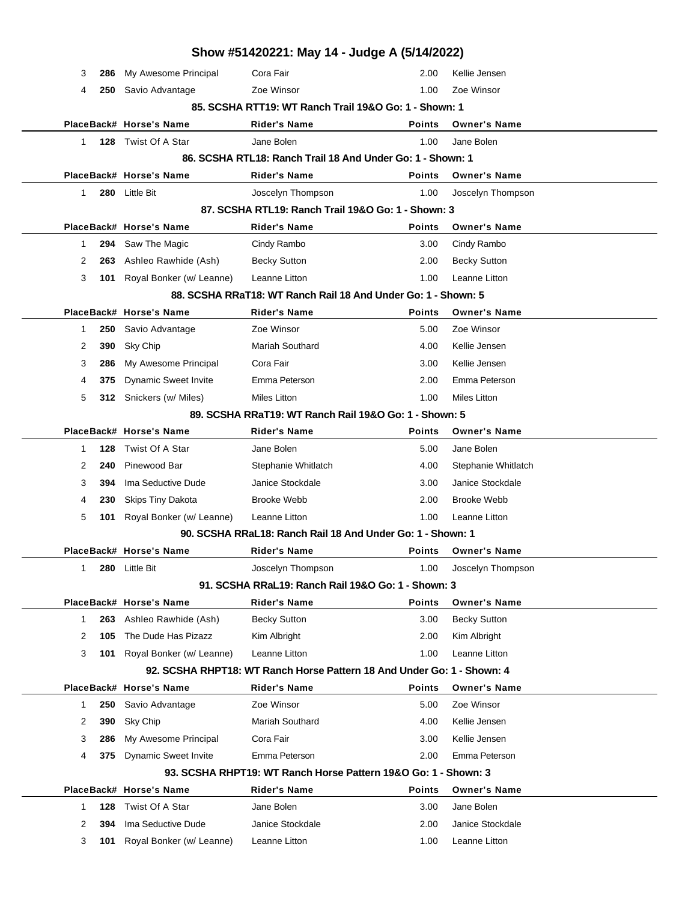|              |     |                                            | Show #51420221: May 14 - Judge A (5/14/2022)                           |               |                                   |  |
|--------------|-----|--------------------------------------------|------------------------------------------------------------------------|---------------|-----------------------------------|--|
| 3            | 286 | My Awesome Principal                       | Cora Fair                                                              | 2.00          | Kellie Jensen                     |  |
| 4            | 250 | Savio Advantage                            | Zoe Winsor                                                             | 1.00          | Zoe Winsor                        |  |
|              |     |                                            | 85. SCSHA RTT19: WT Ranch Trail 19&O Go: 1 - Shown: 1                  |               |                                   |  |
|              |     | PlaceBack# Horse's Name                    | <b>Rider's Name</b>                                                    | <b>Points</b> | <b>Owner's Name</b>               |  |
| $\mathbf{1}$ |     | 128 Twist Of A Star                        | Jane Bolen                                                             | 1.00          | Jane Bolen                        |  |
|              |     |                                            | 86. SCSHA RTL18: Ranch Trail 18 And Under Go: 1 - Shown: 1             |               |                                   |  |
|              |     | PlaceBack# Horse's Name                    | <b>Rider's Name</b>                                                    | <b>Points</b> | <b>Owner's Name</b>               |  |
| 1            |     | 280 Little Bit                             | Joscelyn Thompson                                                      | 1.00          | Joscelyn Thompson                 |  |
|              |     |                                            | 87. SCSHA RTL19: Ranch Trail 19&O Go: 1 - Shown: 3                     |               |                                   |  |
|              |     | PlaceBack# Horse's Name                    | <b>Rider's Name</b>                                                    | <b>Points</b> | <b>Owner's Name</b>               |  |
| 1            | 294 | Saw The Magic                              | Cindy Rambo                                                            | 3.00          | Cindy Rambo                       |  |
| 2            | 263 | Ashleo Rawhide (Ash)                       | <b>Becky Sutton</b>                                                    | 2.00          | <b>Becky Sutton</b>               |  |
| 3            | 101 | Royal Bonker (w/ Leanne)                   | Leanne Litton                                                          | 1.00          | Leanne Litton                     |  |
|              |     |                                            | 88. SCSHA RRaT18: WT Ranch Rail 18 And Under Go: 1 - Shown: 5          |               |                                   |  |
|              |     | PlaceBack# Horse's Name                    | <b>Rider's Name</b>                                                    | <b>Points</b> | <b>Owner's Name</b>               |  |
| 1            | 250 | Savio Advantage                            | Zoe Winsor                                                             | 5.00          | Zoe Winsor                        |  |
| 2            | 390 | Sky Chip                                   | <b>Mariah Southard</b>                                                 | 4.00          | Kellie Jensen                     |  |
| 3            | 286 | My Awesome Principal                       | Cora Fair                                                              | 3.00          | Kellie Jensen                     |  |
| 4            | 375 | <b>Dynamic Sweet Invite</b>                | Emma Peterson                                                          | 2.00          | Emma Peterson                     |  |
| 5            |     | 312 Snickers (w/ Miles)                    | <b>Miles Litton</b>                                                    | 1.00          | <b>Miles Litton</b>               |  |
|              |     |                                            | 89. SCSHA RRaT19: WT Ranch Rail 19&O Go: 1 - Shown: 5                  |               |                                   |  |
|              |     | PlaceBack# Horse's Name                    | <b>Rider's Name</b>                                                    | <b>Points</b> | <b>Owner's Name</b>               |  |
| 1            | 128 | Twist Of A Star                            | Jane Bolen                                                             | 5.00          | Jane Bolen                        |  |
| 2            | 240 | Pinewood Bar                               | Stephanie Whitlatch                                                    | 4.00          | Stephanie Whitlatch               |  |
| 3            | 394 | Ima Seductive Dude                         | Janice Stockdale                                                       | 3.00          | Janice Stockdale                  |  |
| 4            | 230 | <b>Skips Tiny Dakota</b>                   | <b>Brooke Webb</b>                                                     | 2.00          | <b>Brooke Webb</b>                |  |
| 5            | 101 | Royal Bonker (w/ Leanne)                   | Leanne Litton                                                          | 1.00          | Leanne Litton                     |  |
|              |     |                                            | 90. SCSHA RRaL18: Ranch Rail 18 And Under Go: 1 - Shown: 1             |               |                                   |  |
|              |     | PlaceBack# Horse's Name                    | <b>Rider's Name</b>                                                    | <b>Points</b> | <b>Owner's Name</b>               |  |
| 1            | 280 | Little Bit                                 | Joscelyn Thompson                                                      | 1.00          | Joscelyn Thompson                 |  |
|              |     |                                            | 91. SCSHA RRaL19: Ranch Rail 19&O Go: 1 - Shown: 3                     |               |                                   |  |
|              |     | PlaceBack# Horse's Name                    | <b>Rider's Name</b>                                                    | <b>Points</b> | <b>Owner's Name</b>               |  |
| 1            | 263 | Ashleo Rawhide (Ash)                       | <b>Becky Sutton</b>                                                    | 3.00          | <b>Becky Sutton</b>               |  |
| 2            | 105 | The Dude Has Pizazz                        | Kim Albright                                                           | 2.00          | Kim Albright                      |  |
| 3            | 101 | Royal Bonker (w/ Leanne)                   | Leanne Litton                                                          | 1.00          | Leanne Litton                     |  |
|              |     |                                            | 92. SCSHA RHPT18: WT Ranch Horse Pattern 18 And Under Go: 1 - Shown: 4 |               |                                   |  |
|              |     | PlaceBack# Horse's Name                    | <b>Rider's Name</b>                                                    | <b>Points</b> | <b>Owner's Name</b>               |  |
| 1            | 250 | Savio Advantage                            | Zoe Winsor                                                             | 5.00          | Zoe Winsor                        |  |
| 2            | 390 | Sky Chip                                   | <b>Mariah Southard</b>                                                 | 4.00          | Kellie Jensen                     |  |
| 3            | 286 | My Awesome Principal                       | Cora Fair                                                              | 3.00          | Kellie Jensen                     |  |
| 4            | 375 | <b>Dynamic Sweet Invite</b>                | Emma Peterson                                                          | 2.00          | Emma Peterson                     |  |
|              |     |                                            | 93. SCSHA RHPT19: WT Ranch Horse Pattern 19&O Go: 1 - Shown: 3         |               |                                   |  |
|              |     | PlaceBack# Horse's Name<br>Twist Of A Star | <b>Rider's Name</b><br>Jane Bolen                                      | <b>Points</b> | <b>Owner's Name</b><br>Jane Bolen |  |
| 1            | 128 |                                            | Janice Stockdale                                                       | 3.00          |                                   |  |
| 2            | 394 | Ima Seductive Dude                         |                                                                        | 2.00          | Janice Stockdale                  |  |
| 3            | 101 | Royal Bonker (w/ Leanne)                   | Leanne Litton                                                          | 1.00          | Leanne Litton                     |  |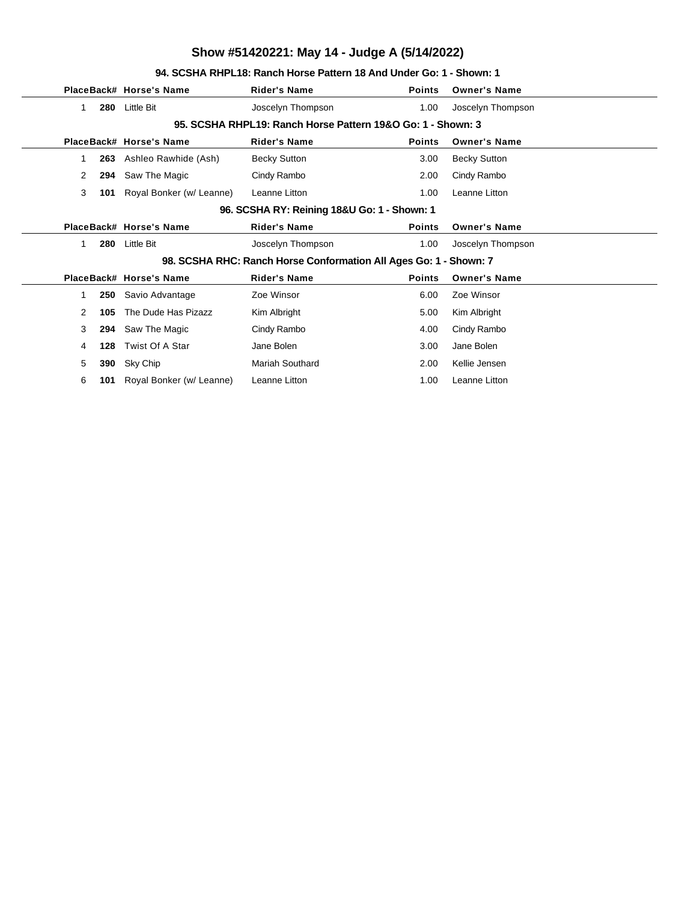### **94. SCSHA RHPL18: Ranch Horse Pattern 18 And Under Go: 1 - Shown: 1**

|                |     | PlaceBack# Horse's Name  | <b>Rider's Name</b>                                               | <b>Points</b> | <b>Owner's Name</b> |
|----------------|-----|--------------------------|-------------------------------------------------------------------|---------------|---------------------|
| 1              | 280 | <b>Little Bit</b>        | Joscelyn Thompson                                                 | 1.00          | Joscelyn Thompson   |
|                |     |                          | 95. SCSHA RHPL19: Ranch Horse Pattern 19&O Go: 1 - Shown: 3       |               |                     |
|                |     | PlaceBack# Horse's Name  | <b>Rider's Name</b>                                               | <b>Points</b> | <b>Owner's Name</b> |
|                | 263 | Ashleo Rawhide (Ash)     | <b>Becky Sutton</b>                                               | 3.00          | <b>Becky Sutton</b> |
| 2              | 294 | Saw The Magic            | Cindy Rambo                                                       | 2.00          | Cindy Rambo         |
| 3              | 101 | Royal Bonker (w/ Leanne) | Leanne Litton                                                     | 1.00          | Leanne Litton       |
|                |     |                          | 96. SCSHA RY: Reining 18&U Go: 1 - Shown: 1                       |               |                     |
|                |     | PlaceBack# Horse's Name  | <b>Rider's Name</b>                                               | <b>Points</b> | <b>Owner's Name</b> |
| 1              | 280 | Little Bit               | Joscelyn Thompson                                                 | 1.00          | Joscelyn Thompson   |
|                |     |                          | 98. SCSHA RHC: Ranch Horse Conformation All Ages Go: 1 - Shown: 7 |               |                     |
|                |     | PlaceBack# Horse's Name  | <b>Rider's Name</b>                                               | <b>Points</b> | <b>Owner's Name</b> |
| 1              | 250 | Savio Advantage          | Zoe Winsor                                                        | 6.00          | Zoe Winsor          |
| $\overline{2}$ | 105 | The Dude Has Pizazz      | Kim Albright                                                      | 5.00          | Kim Albright        |
| 3              | 294 | Saw The Magic            | Cindy Rambo                                                       | 4.00          | Cindy Rambo         |
| 4              | 128 | Twist Of A Star          | Jane Bolen                                                        | 3.00          | Jane Bolen          |
| 5              | 390 | Sky Chip                 | <b>Mariah Southard</b>                                            | 2.00          | Kellie Jensen       |
| 6              | 101 | Royal Bonker (w/ Leanne) | Leanne Litton                                                     | 1.00          | Leanne Litton       |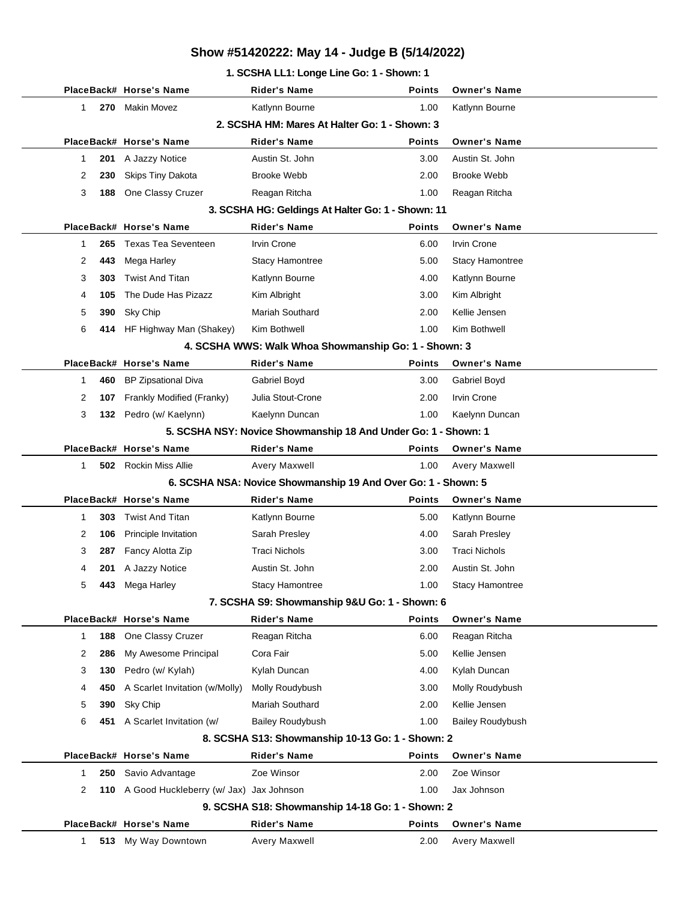### **1. SCSHA LL1: Longe Line Go: 1 - Shown: 1**

|                    | PlaceBack# Horse's Name                     | Rider's Name                                                   | <b>Points</b> | <b>Owner's Name</b>     |
|--------------------|---------------------------------------------|----------------------------------------------------------------|---------------|-------------------------|
| 270<br>1.          | Makin Movez                                 | Katlynn Bourne                                                 | 1.00          | Katlynn Bourne          |
|                    |                                             | 2. SCSHA HM: Mares At Halter Go: 1 - Shown: 3                  |               |                         |
|                    | PlaceBack# Horse's Name                     | <b>Rider's Name</b>                                            | <b>Points</b> | <b>Owner's Name</b>     |
| 201<br>1           | A Jazzy Notice                              | Austin St. John                                                | 3.00          | Austin St. John         |
| 2<br>230           | <b>Skips Tiny Dakota</b>                    | <b>Brooke Webb</b>                                             | 2.00          | <b>Brooke Webb</b>      |
| 3<br>188           | One Classy Cruzer                           | Reagan Ritcha                                                  | 1.00          | Reagan Ritcha           |
|                    |                                             | 3. SCSHA HG: Geldings At Halter Go: 1 - Shown: 11              |               |                         |
|                    | PlaceBack# Horse's Name                     | <b>Rider's Name</b>                                            | <b>Points</b> | <b>Owner's Name</b>     |
| 265<br>1           | <b>Texas Tea Seventeen</b>                  | <b>Irvin Crone</b>                                             | 6.00          | <b>Irvin Crone</b>      |
| 2<br>443           | Mega Harley                                 | <b>Stacy Hamontree</b>                                         | 5.00          | Stacy Hamontree         |
| 3<br>303           | <b>Twist And Titan</b>                      | Katlynn Bourne                                                 | 4.00          | Katlynn Bourne          |
| 105<br>4           | The Dude Has Pizazz                         | Kim Albright                                                   | 3.00          | Kim Albright            |
| 5<br>390           | Sky Chip                                    | <b>Mariah Southard</b>                                         | 2.00          | Kellie Jensen           |
| 6<br>414           | HF Highway Man (Shakey)                     | Kim Bothwell                                                   | 1.00          | Kim Bothwell            |
|                    |                                             | 4. SCSHA WWS: Walk Whoa Showmanship Go: 1 - Shown: 3           |               |                         |
|                    | PlaceBack# Horse's Name                     | <b>Rider's Name</b>                                            | <b>Points</b> | <b>Owner's Name</b>     |
| 1<br>460           | <b>BP Zipsational Diva</b>                  | Gabriel Boyd                                                   | 3.00          | Gabriel Boyd            |
| 2<br>107           | Frankly Modified (Franky)                   | Julia Stout-Crone                                              | 2.00          | Irvin Crone             |
| 3                  | 132 Pedro (w/ Kaelynn)                      | Kaelynn Duncan                                                 | 1.00          | Kaelynn Duncan          |
|                    |                                             | 5. SCSHA NSY: Novice Showmanship 18 And Under Go: 1 - Shown: 1 |               |                         |
|                    | PlaceBack# Horse's Name                     | <b>Rider's Name</b>                                            | <b>Points</b> | <b>Owner's Name</b>     |
| 1                  | <b>502</b> Rockin Miss Allie                | Avery Maxwell                                                  | 1.00          | <b>Avery Maxwell</b>    |
|                    |                                             | 6. SCSHA NSA: Novice Showmanship 19 And Over Go: 1 - Shown: 5  |               |                         |
|                    | PlaceBack# Horse's Name                     | <b>Rider's Name</b>                                            | <b>Points</b> | <b>Owner's Name</b>     |
| 303<br>1           | <b>Twist And Titan</b>                      | Katlynn Bourne                                                 | 5.00          | Katlynn Bourne          |
| 2<br>106           | Principle Invitation                        | Sarah Presley                                                  | 4.00          | Sarah Presley           |
| 3<br>287           | Fancy Alotta Zip                            | <b>Traci Nichols</b>                                           | 3.00          | <b>Traci Nichols</b>    |
| 4<br>201           | A Jazzy Notice                              | Austin St. John                                                | 2.00          | Austin St. John         |
| 5<br>443           | Mega Harley                                 | <b>Stacy Hamontree</b>                                         | 1.00          | <b>Stacy Hamontree</b>  |
|                    |                                             | 7. SCSHA S9: Showmanship 9&U Go: 1 - Shown: 6                  |               |                         |
|                    | PlaceBack# Horse's Name                     | <b>Rider's Name</b>                                            | <b>Points</b> | <b>Owner's Name</b>     |
| 188<br>$\mathbf 1$ | One Classy Cruzer                           | Reagan Ritcha                                                  | 6.00          | Reagan Ritcha           |
| 2<br>286           | My Awesome Principal                        | Cora Fair                                                      | 5.00          | Kellie Jensen           |
| 3<br>130           | Pedro (w/ Kylah)                            | Kylah Duncan                                                   | 4.00          | Kylah Duncan            |
| 4<br>450           | A Scarlet Invitation (w/Molly)              | Molly Roudybush                                                | 3.00          | Molly Roudybush         |
| 5<br>390           | Sky Chip                                    | Mariah Southard                                                | 2.00          | Kellie Jensen           |
| 6                  | 451 A Scarlet Invitation (w/                | <b>Bailey Roudybush</b>                                        | 1.00          | <b>Bailey Roudybush</b> |
|                    |                                             | 8. SCSHA S13: Showmanship 10-13 Go: 1 - Shown: 2               |               |                         |
|                    | PlaceBack# Horse's Name                     | <b>Rider's Name</b>                                            | <b>Points</b> | <b>Owner's Name</b>     |
| $\mathbf 1$<br>250 | Savio Advantage                             | Zoe Winsor                                                     | 2.00          | Zoe Winsor              |
| 2                  | 110 A Good Huckleberry (w/ Jax) Jax Johnson |                                                                | 1.00          | Jax Johnson             |
|                    |                                             | 9. SCSHA S18: Showmanship 14-18 Go: 1 - Shown: 2               |               |                         |
|                    | PlaceBack# Horse's Name                     | <b>Rider's Name</b>                                            | <b>Points</b> | <b>Owner's Name</b>     |
| 1<br>513           | My Way Downtown                             | Avery Maxwell                                                  | 2.00          | Avery Maxwell           |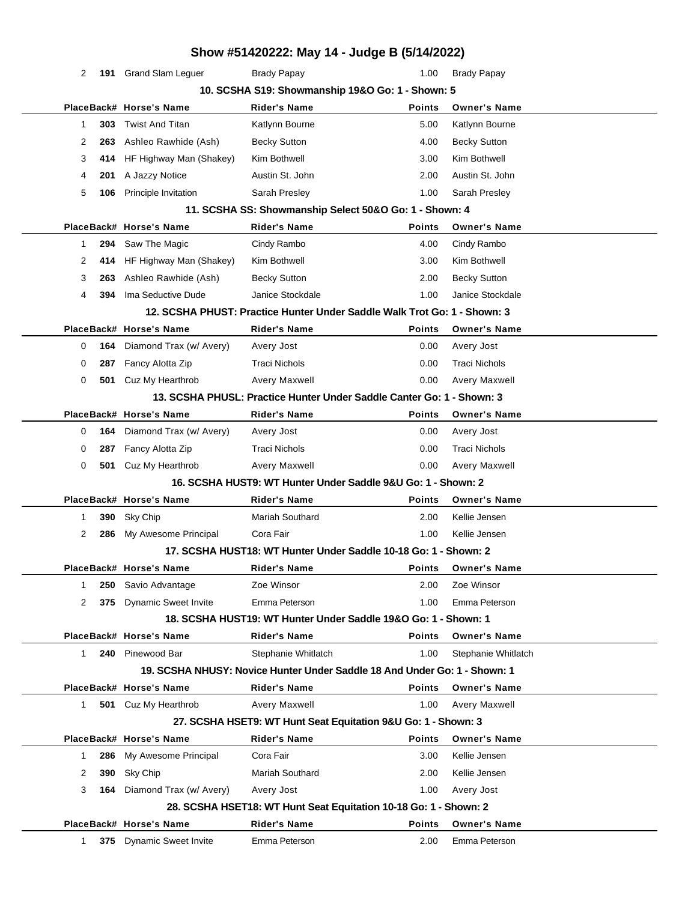|              |     |                             | Show #51420222: May 14 - Judge B (5/14/2022)                              |               |                      |  |
|--------------|-----|-----------------------------|---------------------------------------------------------------------------|---------------|----------------------|--|
| 2            |     | 191 Grand Slam Leguer       | <b>Brady Papay</b>                                                        | 1.00          | <b>Brady Papay</b>   |  |
|              |     |                             | 10. SCSHA S19: Showmanship 19&O Go: 1 - Shown: 5                          |               |                      |  |
|              |     | PlaceBack# Horse's Name     | <b>Rider's Name</b>                                                       | <b>Points</b> | <b>Owner's Name</b>  |  |
| $\mathbf{1}$ | 303 | <b>Twist And Titan</b>      | Katlynn Bourne                                                            | 5.00          | Katlynn Bourne       |  |
| 2            | 263 | Ashleo Rawhide (Ash)        | <b>Becky Sutton</b>                                                       | 4.00          | <b>Becky Sutton</b>  |  |
| 3            | 414 | HF Highway Man (Shakey)     | Kim Bothwell                                                              | 3.00          | Kim Bothwell         |  |
| 4            | 201 | A Jazzy Notice              | Austin St. John                                                           | 2.00          | Austin St. John      |  |
| 5            | 106 | Principle Invitation        | Sarah Presley                                                             | 1.00          | Sarah Presley        |  |
|              |     |                             | 11. SCSHA SS: Showmanship Select 50&O Go: 1 - Shown: 4                    |               |                      |  |
|              |     | PlaceBack# Horse's Name     | <b>Rider's Name</b>                                                       | <b>Points</b> | <b>Owner's Name</b>  |  |
| $\mathbf 1$  | 294 | Saw The Magic               | Cindy Rambo                                                               | 4.00          | Cindy Rambo          |  |
| 2            | 414 | HF Highway Man (Shakey)     | Kim Bothwell                                                              | 3.00          | Kim Bothwell         |  |
| 3            | 263 | Ashleo Rawhide (Ash)        | <b>Becky Sutton</b>                                                       | 2.00          | <b>Becky Sutton</b>  |  |
| 4            | 394 | Ima Seductive Dude          | Janice Stockdale                                                          | 1.00          | Janice Stockdale     |  |
|              |     |                             | 12. SCSHA PHUST: Practice Hunter Under Saddle Walk Trot Go: 1 - Shown: 3  |               |                      |  |
|              |     | PlaceBack# Horse's Name     | <b>Rider's Name</b>                                                       | <b>Points</b> | <b>Owner's Name</b>  |  |
| 0            | 164 | Diamond Trax (w/ Avery)     | Avery Jost                                                                | 0.00          | Avery Jost           |  |
| 0            | 287 | Fancy Alotta Zip            | <b>Traci Nichols</b>                                                      | 0.00          | <b>Traci Nichols</b> |  |
| 0            | 501 | Cuz My Hearthrob            | Avery Maxwell                                                             | 0.00          | Avery Maxwell        |  |
|              |     |                             | 13. SCSHA PHUSL: Practice Hunter Under Saddle Canter Go: 1 - Shown: 3     |               |                      |  |
|              |     | PlaceBack# Horse's Name     | <b>Rider's Name</b>                                                       | <b>Points</b> | <b>Owner's Name</b>  |  |
| 0            | 164 | Diamond Trax (w/ Avery)     | Avery Jost                                                                | 0.00          | Avery Jost           |  |
| 0            | 287 | Fancy Alotta Zip            | <b>Traci Nichols</b>                                                      | 0.00          | <b>Traci Nichols</b> |  |
| 0            | 501 | Cuz My Hearthrob            | Avery Maxwell                                                             | 0.00          | Avery Maxwell        |  |
|              |     |                             | 16. SCSHA HUST9: WT Hunter Under Saddle 9&U Go: 1 - Shown: 2              |               |                      |  |
|              |     | PlaceBack# Horse's Name     | <b>Rider's Name</b>                                                       | <b>Points</b> | <b>Owner's Name</b>  |  |
| 1            | 390 | Sky Chip                    | <b>Mariah Southard</b>                                                    | 2.00          | Kellie Jensen        |  |
| 2            | 286 | My Awesome Principal        | Cora Fair                                                                 | 1.00          | Kellie Jensen        |  |
|              |     |                             | 17. SCSHA HUST18: WT Hunter Under Saddle 10-18 Go: 1 - Shown: 2           |               |                      |  |
|              |     | PlaceBack# Horse's Name     | <b>Rider's Name</b>                                                       | <b>Points</b> | <b>Owner's Name</b>  |  |
| 1            | 250 | Savio Advantage             | Zoe Winsor                                                                | 2.00          | Zoe Winsor           |  |
| 2            | 375 | <b>Dynamic Sweet Invite</b> | Emma Peterson                                                             | 1.00          | Emma Peterson        |  |
|              |     |                             | 18. SCSHA HUST19: WT Hunter Under Saddle 19&O Go: 1 - Shown: 1            |               |                      |  |
|              |     | PlaceBack# Horse's Name     | <b>Rider's Name</b>                                                       | <b>Points</b> | <b>Owner's Name</b>  |  |
| $\mathbf 1$  |     | 240 Pinewood Bar            | Stephanie Whitlatch                                                       | 1.00          | Stephanie Whitlatch  |  |
|              |     |                             | 19. SCSHA NHUSY: Novice Hunter Under Saddle 18 And Under Go: 1 - Shown: 1 |               |                      |  |
|              |     | PlaceBack# Horse's Name     | <b>Rider's Name</b>                                                       | <b>Points</b> | <b>Owner's Name</b>  |  |
| $\mathbf{1}$ | 501 | Cuz My Hearthrob            | Avery Maxwell                                                             | 1.00          | Avery Maxwell        |  |
|              |     |                             | 27. SCSHA HSET9: WT Hunt Seat Equitation 9&U Go: 1 - Shown: 3             |               |                      |  |
|              |     | PlaceBack# Horse's Name     | <b>Rider's Name</b>                                                       | <b>Points</b> | <b>Owner's Name</b>  |  |
| $\mathbf{1}$ | 286 | My Awesome Principal        | Cora Fair                                                                 | 3.00          | Kellie Jensen        |  |
| 2            | 390 | Sky Chip                    | <b>Mariah Southard</b>                                                    | 2.00          | Kellie Jensen        |  |
| 3            | 164 | Diamond Trax (w/ Avery)     | Avery Jost                                                                | 1.00          | Avery Jost           |  |
|              |     |                             | 28. SCSHA HSET18: WT Hunt Seat Equitation 10-18 Go: 1 - Shown: 2          |               |                      |  |
|              |     | PlaceBack# Horse's Name     | <b>Rider's Name</b>                                                       | <b>Points</b> | <b>Owner's Name</b>  |  |
| $\mathbf{1}$ | 375 | <b>Dynamic Sweet Invite</b> | Emma Peterson                                                             | 2.00          | Emma Peterson        |  |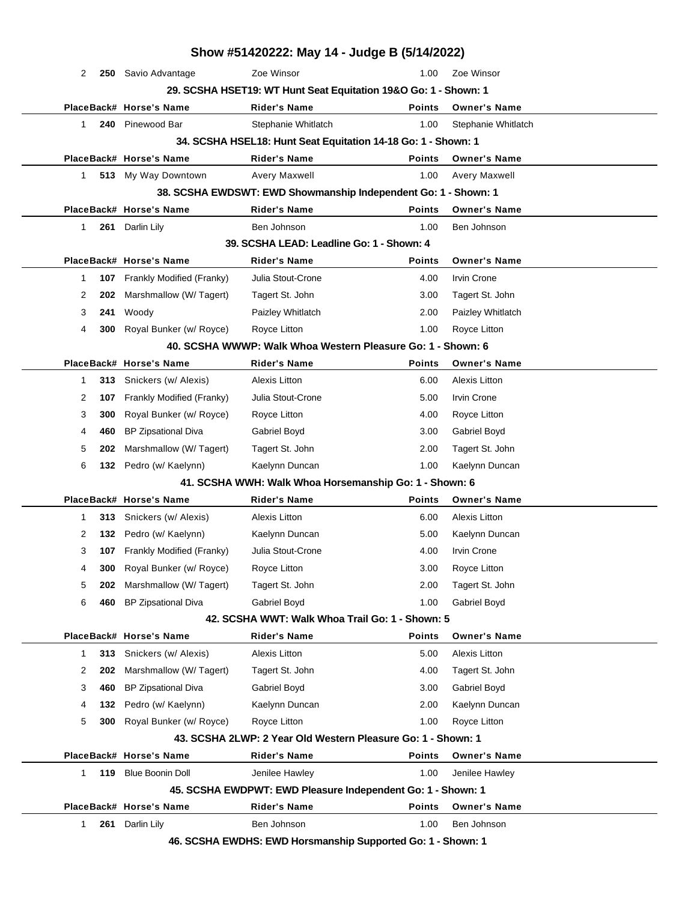|              |     |                            |                                           | Show #51420222: May 14 - Judge B (5/14/2022)                    |                      |  |
|--------------|-----|----------------------------|-------------------------------------------|-----------------------------------------------------------------|----------------------|--|
| 2            |     | 250 Savio Advantage        | Zoe Winsor                                | 1.00                                                            | Zoe Winsor           |  |
|              |     |                            |                                           | 29. SCSHA HSET19: WT Hunt Seat Equitation 19&O Go: 1 - Shown: 1 |                      |  |
|              |     | PlaceBack# Horse's Name    | <b>Rider's Name</b>                       | Points                                                          | <b>Owner's Name</b>  |  |
| 1            | 240 | Pinewood Bar               | Stephanie Whitlatch                       | 1.00                                                            | Stephanie Whitlatch  |  |
|              |     |                            |                                           | 34. SCSHA HSEL18: Hunt Seat Equitation 14-18 Go: 1 - Shown: 1   |                      |  |
|              |     | PlaceBack# Horse's Name    | <b>Rider's Name</b>                       | <b>Points</b>                                                   | <b>Owner's Name</b>  |  |
| $\mathbf{1}$ |     | 513 My Way Downtown        | Avery Maxwell                             | 1.00                                                            | Avery Maxwell        |  |
|              |     |                            |                                           | 38. SCSHA EWDSWT: EWD Showmanship Independent Go: 1 - Shown: 1  |                      |  |
|              |     | PlaceBack# Horse's Name    | <b>Rider's Name</b>                       | <b>Points</b>                                                   | <b>Owner's Name</b>  |  |
| 1            |     | 261 Darlin Lily            | Ben Johnson                               | 1.00                                                            | Ben Johnson          |  |
|              |     |                            | 39. SCSHA LEAD: Leadline Go: 1 - Shown: 4 |                                                                 |                      |  |
|              |     | PlaceBack# Horse's Name    | <b>Rider's Name</b>                       | <b>Points</b>                                                   | <b>Owner's Name</b>  |  |
| $\mathbf 1$  | 107 | Frankly Modified (Franky)  | Julia Stout-Crone                         | 4.00                                                            | Irvin Crone          |  |
| 2            | 202 | Marshmallow (W/ Tagert)    | Tagert St. John                           | 3.00                                                            | Tagert St. John      |  |
| 3            | 241 | Woody                      | Paizley Whitlatch                         | 2.00                                                            | Paizley Whitlatch    |  |
| 4            | 300 | Royal Bunker (w/ Royce)    | Royce Litton                              | 1.00                                                            | Royce Litton         |  |
|              |     |                            |                                           | 40. SCSHA WWWP: Walk Whoa Western Pleasure Go: 1 - Shown: 6     |                      |  |
|              |     | PlaceBack# Horse's Name    | <b>Rider's Name</b>                       | <b>Points</b>                                                   | <b>Owner's Name</b>  |  |
| 1            | 313 | Snickers (w/ Alexis)       | <b>Alexis Litton</b>                      | 6.00                                                            | Alexis Litton        |  |
| 2            | 107 | Frankly Modified (Franky)  | Julia Stout-Crone                         | 5.00                                                            | <b>Irvin Crone</b>   |  |
| 3            | 300 | Royal Bunker (w/ Royce)    | Royce Litton                              | 4.00                                                            | Royce Litton         |  |
| 4            | 460 | <b>BP Zipsational Diva</b> | Gabriel Boyd                              | 3.00                                                            | Gabriel Boyd         |  |
| 5            | 202 | Marshmallow (W/ Tagert)    | Tagert St. John                           | 2.00                                                            | Tagert St. John      |  |
| 6            |     | 132 Pedro (w/ Kaelynn)     | Kaelynn Duncan                            | 1.00                                                            | Kaelynn Duncan       |  |
|              |     |                            |                                           | 41. SCSHA WWH: Walk Whoa Horsemanship Go: 1 - Shown: 6          |                      |  |
|              |     | PlaceBack# Horse's Name    | <b>Rider's Name</b>                       | <b>Points</b>                                                   | <b>Owner's Name</b>  |  |
| 1            | 313 | Snickers (w/ Alexis)       | <b>Alexis Litton</b>                      | 6.00                                                            | Alexis Litton        |  |
| 2            | 132 | Pedro (w/ Kaelynn)         | Kaelynn Duncan                            | 5.00                                                            | Kaelynn Duncan       |  |
| 3            | 107 | Frankly Modified (Franky)  | Julia Stout-Crone                         | 4.00                                                            | <b>Irvin Crone</b>   |  |
| 4            | 300 | Royal Bunker (w/ Royce)    | Royce Litton                              | 3.00                                                            | Royce Litton         |  |
| 5            | 202 | Marshmallow (W/Tagert)     | Tagert St. John                           | 2.00                                                            | Tagert St. John      |  |
| 6            | 460 | BP Zipsational Diva        | Gabriel Boyd                              | 1.00                                                            | Gabriel Boyd         |  |
|              |     |                            |                                           | 42. SCSHA WWT: Walk Whoa Trail Go: 1 - Shown: 5                 |                      |  |
|              |     | PlaceBack# Horse's Name    | <b>Rider's Name</b>                       | <b>Points</b>                                                   | <b>Owner's Name</b>  |  |
| 1            | 313 | Snickers (w/ Alexis)       | <b>Alexis Litton</b>                      | 5.00                                                            | <b>Alexis Litton</b> |  |
| 2            | 202 | Marshmallow (W/Tagert)     | Tagert St. John                           | 4.00                                                            | Tagert St. John      |  |
| 3            | 460 | <b>BP Zipsational Diva</b> | Gabriel Boyd                              | 3.00                                                            | Gabriel Boyd         |  |
| 4            | 132 | Pedro (w/ Kaelynn)         | Kaelynn Duncan                            | 2.00                                                            | Kaelynn Duncan       |  |
| 5            | 300 | Royal Bunker (w/ Royce)    | Royce Litton                              | 1.00                                                            | Royce Litton         |  |
|              |     |                            |                                           | 43. SCSHA 2LWP: 2 Year Old Western Pleasure Go: 1 - Shown: 1    |                      |  |
|              |     | PlaceBack# Horse's Name    | <b>Rider's Name</b>                       | <b>Points</b>                                                   | <b>Owner's Name</b>  |  |
| 1            | 119 | <b>Blue Boonin Doll</b>    | Jenilee Hawley                            | 1.00                                                            | Jenilee Hawley       |  |
|              |     |                            |                                           | 45. SCSHA EWDPWT: EWD Pleasure Independent Go: 1 - Shown: 1     |                      |  |
|              |     | PlaceBack# Horse's Name    | <b>Rider's Name</b>                       | <b>Points</b>                                                   | <b>Owner's Name</b>  |  |
| 1            | 261 | Darlin Lily                | Ben Johnson                               | 1.00                                                            | Ben Johnson          |  |
|              |     |                            |                                           | 46. SCSHA EWDHS: EWD Horsmanship Supported Go: 1 - Shown: 1     |                      |  |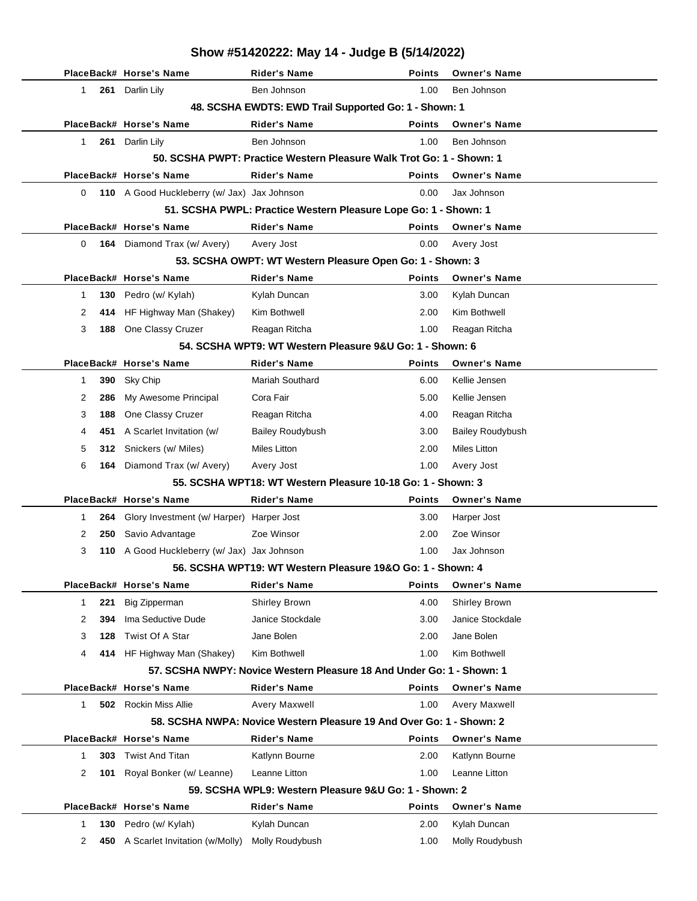|          |     |                                             | Show #51420222: May 14 - Judge B (5/14/2022)                                                |               |                                 |
|----------|-----|---------------------------------------------|---------------------------------------------------------------------------------------------|---------------|---------------------------------|
|          |     | PlaceBack# Horse's Name                     | <b>Rider's Name</b>                                                                         | <b>Points</b> | <b>Owner's Name</b>             |
| 1        | 261 | Darlin Lily                                 | Ben Johnson                                                                                 | 1.00          | Ben Johnson                     |
|          |     |                                             | 48. SCSHA EWDTS: EWD Trail Supported Go: 1 - Shown: 1                                       |               |                                 |
|          |     | PlaceBack# Horse's Name                     | <b>Rider's Name</b>                                                                         | <b>Points</b> | <b>Owner's Name</b>             |
| 1        |     | 261 Darlin Lily                             | Ben Johnson                                                                                 | 1.00          | Ben Johnson                     |
|          |     |                                             | 50. SCSHA PWPT: Practice Western Pleasure Walk Trot Go: 1 - Shown: 1                        |               |                                 |
|          |     | PlaceBack# Horse's Name                     | <b>Rider's Name</b>                                                                         | <b>Points</b> | <b>Owner's Name</b>             |
| 0        |     | 110 A Good Huckleberry (w/ Jax) Jax Johnson |                                                                                             | 0.00          | Jax Johnson                     |
|          |     |                                             | 51. SCSHA PWPL: Practice Western Pleasure Lope Go: 1 - Shown: 1                             |               |                                 |
|          |     | PlaceBack# Horse's Name                     | <b>Rider's Name</b>                                                                         | Points        | <b>Owner's Name</b>             |
| $\Omega$ |     | 164 Diamond Trax (w/ Avery)                 | Avery Jost                                                                                  | 0.00          | Avery Jost                      |
|          |     |                                             | 53. SCSHA OWPT: WT Western Pleasure Open Go: 1 - Shown: 3                                   |               |                                 |
|          |     | PlaceBack# Horse's Name                     | <b>Rider's Name</b>                                                                         | <b>Points</b> | <b>Owner's Name</b>             |
| 1        | 130 | Pedro (w/ Kylah)                            | Kylah Duncan                                                                                | 3.00          | Kylah Duncan                    |
| 2        | 414 | HF Highway Man (Shakey)                     | Kim Bothwell                                                                                | 2.00          | Kim Bothwell                    |
| 3        | 188 | One Classy Cruzer                           | Reagan Ritcha                                                                               | 1.00          | Reagan Ritcha                   |
|          |     |                                             | 54. SCSHA WPT9: WT Western Pleasure 9&U Go: 1 - Shown: 6                                    |               |                                 |
|          |     | PlaceBack# Horse's Name                     | <b>Rider's Name</b>                                                                         | <b>Points</b> | <b>Owner's Name</b>             |
| 1        | 390 | Sky Chip                                    | <b>Mariah Southard</b>                                                                      | 6.00          | Kellie Jensen                   |
| 2        | 286 | My Awesome Principal                        | Cora Fair                                                                                   | 5.00          | Kellie Jensen                   |
| 3        | 188 | One Classy Cruzer                           | Reagan Ritcha                                                                               | 4.00          | Reagan Ritcha                   |
| 4        | 451 | A Scarlet Invitation (w/                    | <b>Bailey Roudybush</b>                                                                     | 3.00          | <b>Bailey Roudybush</b>         |
| 5        | 312 | Snickers (w/ Miles)                         | <b>Miles Litton</b>                                                                         | 2.00          | <b>Miles Litton</b>             |
| 6        | 164 | Diamond Trax (w/ Avery)                     | Avery Jost                                                                                  | 1.00          | Avery Jost                      |
|          |     |                                             | 55. SCSHA WPT18: WT Western Pleasure 10-18 Go: 1 - Shown: 3                                 |               |                                 |
|          |     | PlaceBack# Horse's Name                     | <b>Rider's Name</b>                                                                         | <b>Points</b> | <b>Owner's Name</b>             |
| 1        | 264 | Glory Investment (w/ Harper) Harper Jost    |                                                                                             | 3.00          | Harper Jost                     |
| 2        | 250 | Savio Advantage                             | Zoe Winsor                                                                                  | 2.00          | Zoe Winsor                      |
| 3        |     | 110 A Good Huckleberry (w/ Jax) Jax Johnson |                                                                                             | 1.00          | Jax Johnson                     |
|          |     |                                             | 56. SCSHA WPT19: WT Western Pleasure 19&O Go: 1 - Shown: 4                                  |               |                                 |
|          |     | PlaceBack# Horse's Name                     | Rider's Name                                                                                | <b>Points</b> | <b>Owner's Name</b>             |
| 1        | 221 | <b>Big Zipperman</b>                        | Shirley Brown                                                                               | 4.00          | Shirley Brown                   |
| 2        | 394 | Ima Seductive Dude                          | Janice Stockdale                                                                            | 3.00          | Janice Stockdale                |
| 3        | 128 | Twist Of A Star                             | Jane Bolen                                                                                  | 2.00          | Jane Bolen                      |
| 4        |     | 414 HF Highway Man (Shakey)                 | Kim Bothwell                                                                                | 1.00          | Kim Bothwell                    |
|          |     |                                             | 57. SCSHA NWPY: Novice Western Pleasure 18 And Under Go: 1 - Shown: 1                       |               |                                 |
|          |     | PlaceBack# Horse's Name                     | <b>Rider's Name</b>                                                                         | <b>Points</b> | <b>Owner's Name</b>             |
| 1        | 502 | Rockin Miss Allie                           | Avery Maxwell                                                                               | 1.00          | Avery Maxwell                   |
|          |     | PlaceBack# Horse's Name                     | 58. SCSHA NWPA: Novice Western Pleasure 19 And Over Go: 1 - Shown: 2<br><b>Rider's Name</b> | <b>Points</b> | <b>Owner's Name</b>             |
|          |     |                                             |                                                                                             |               |                                 |
| 1        | 303 | <b>Twist And Titan</b>                      | Katlynn Bourne<br>Leanne Litton                                                             | 2.00<br>1.00  | Katlynn Bourne<br>Leanne Litton |
| 2        | 101 | Royal Bonker (w/ Leanne)                    | 59. SCSHA WPL9: Western Pleasure 9&U Go: 1 - Shown: 2                                       |               |                                 |
|          |     | PlaceBack# Horse's Name                     | <b>Rider's Name</b>                                                                         | <b>Points</b> | <b>Owner's Name</b>             |
| 1        | 130 | Pedro (w/ Kylah)                            | Kylah Duncan                                                                                | 2.00          | Kylah Duncan                    |
| 2        | 450 |                                             | Molly Roudybush                                                                             | 1.00          | Molly Roudybush                 |
|          |     | A Scarlet Invitation (w/Molly)              |                                                                                             |               |                                 |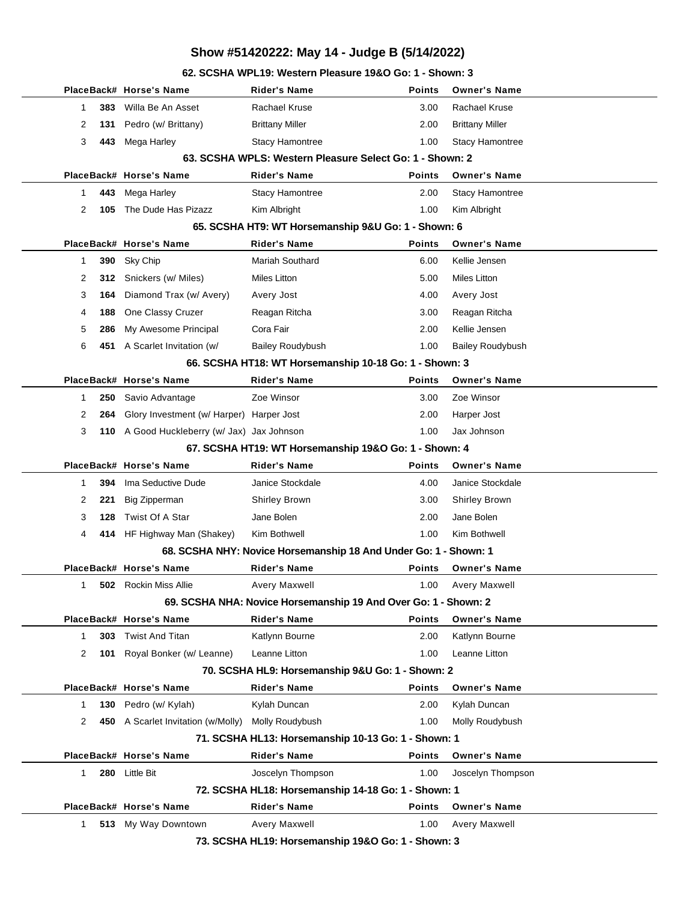**62. SCSHA WPL19: Western Pleasure 19&O Go: 1 - Shown: 3**

|                     | PlaceBack# Horse's Name                  | Rider's Name                                                     | <b>Points</b> | <b>Owner's Name</b>                  |
|---------------------|------------------------------------------|------------------------------------------------------------------|---------------|--------------------------------------|
| 383<br>1            | Willa Be An Asset                        | Rachael Kruse                                                    | 3.00          | Rachael Kruse                        |
| 2<br>131            | Pedro (w/ Brittany)                      | <b>Brittany Miller</b>                                           | 2.00          | <b>Brittany Miller</b>               |
| 3<br>443            | Mega Harley                              | <b>Stacy Hamontree</b>                                           | 1.00          | Stacy Hamontree                      |
|                     |                                          | 63. SCSHA WPLS: Western Pleasure Select Go: 1 - Shown: 2         |               |                                      |
|                     | PlaceBack# Horse's Name                  | Rider's Name                                                     | Points        | <b>Owner's Name</b>                  |
| 443<br>1.           | Mega Harley                              | <b>Stacy Hamontree</b>                                           | 2.00          | <b>Stacy Hamontree</b>               |
| 2<br>105            | The Dude Has Pizazz                      | Kim Albright                                                     | 1.00          | Kim Albright                         |
|                     |                                          | 65. SCSHA HT9: WT Horsemanship 9&U Go: 1 - Shown: 6              |               |                                      |
|                     | PlaceBack# Horse's Name                  | <b>Rider's Name</b>                                              | <b>Points</b> | <b>Owner's Name</b>                  |
| 390<br>1            | Sky Chip                                 | Mariah Southard                                                  | 6.00          | Kellie Jensen                        |
| 2<br>312            | Snickers (w/ Miles)                      | Miles Litton                                                     | 5.00          | Miles Litton                         |
| 3<br>164            | Diamond Trax (w/ Avery)                  | Avery Jost                                                       | 4.00          | Avery Jost                           |
| 4<br>188            | One Classy Cruzer                        | Reagan Ritcha                                                    | 3.00          | Reagan Ritcha                        |
| 5<br>286            | My Awesome Principal                     | Cora Fair                                                        | 2.00          | Kellie Jensen                        |
| 6                   | 451 A Scarlet Invitation (w/             | <b>Bailey Roudybush</b>                                          | 1.00          | <b>Bailey Roudybush</b>              |
|                     |                                          | 66. SCSHA HT18: WT Horsemanship 10-18 Go: 1 - Shown: 3           |               |                                      |
|                     | PlaceBack# Horse's Name                  | <b>Rider's Name</b>                                              | <b>Points</b> | <b>Owner's Name</b>                  |
| 1<br>250            | Savio Advantage                          | Zoe Winsor                                                       | 3.00          | Zoe Winsor                           |
| 2<br>264            | Glory Investment (w/ Harper) Harper Jost |                                                                  | 2.00          | Harper Jost                          |
| 3<br>110            | A Good Huckleberry (w/ Jax) Jax Johnson  |                                                                  | 1.00          | Jax Johnson                          |
|                     |                                          | 67. SCSHA HT19: WT Horsemanship 19&O Go: 1 - Shown: 4            |               |                                      |
|                     |                                          |                                                                  |               |                                      |
|                     | PlaceBack# Horse's Name                  | <b>Rider's Name</b>                                              | <b>Points</b> | <b>Owner's Name</b>                  |
| 394<br>1            | Ima Seductive Dude                       | Janice Stockdale                                                 | 4.00          | Janice Stockdale                     |
| 2<br>221            | <b>Big Zipperman</b>                     | Shirley Brown                                                    | 3.00          | Shirley Brown                        |
| 3<br>128            | Twist Of A Star                          | Jane Bolen                                                       | 2.00          | Jane Bolen                           |
| 4                   | 414 HF Highway Man (Shakey)              | Kim Bothwell                                                     | 1.00          | Kim Bothwell                         |
|                     |                                          | 68. SCSHA NHY: Novice Horsemanship 18 And Under Go: 1 - Shown: 1 |               |                                      |
|                     | PlaceBack# Horse's Name                  | <b>Rider's Name</b>                                              | <b>Points</b> | <b>Owner's Name</b>                  |
| $\mathbf{1}$        | <b>502</b> Rockin Miss Allie             | Avery Maxwell                                                    | 1.00          | <b>Avery Maxwell</b>                 |
|                     |                                          | 69. SCSHA NHA: Novice Horsemanship 19 And Over Go: 1 - Shown: 2  |               |                                      |
|                     | PlaceBack# Horse's Name                  | <b>Rider's Name</b>                                              | <b>Points</b> | <b>Owner's Name</b>                  |
| $\mathbf{1}$<br>303 | <b>Twist And Titan</b>                   | Katlynn Bourne                                                   | 2.00          | Katlynn Bourne                       |
| 2<br>101            | Royal Bonker (w/ Leanne)                 | Leanne Litton                                                    | 1.00          | Leanne Litton                        |
|                     |                                          | 70. SCSHA HL9: Horsemanship 9&U Go: 1 - Shown: 2                 |               |                                      |
|                     | PlaceBack# Horse's Name                  | <b>Rider's Name</b>                                              | <b>Points</b> | <b>Owner's Name</b>                  |
| 130<br>1            | Pedro (w/ Kylah)                         | Kylah Duncan                                                     | 2.00          | Kylah Duncan                         |
| 2                   | 450 A Scarlet Invitation (w/Molly)       | Molly Roudybush                                                  | 1.00          | Molly Roudybush                      |
|                     |                                          | 71. SCSHA HL13: Horsemanship 10-13 Go: 1 - Shown: 1              |               |                                      |
|                     | PlaceBack# Horse's Name                  | Rider's Name                                                     | <b>Points</b> | <b>Owner's Name</b>                  |
| $\mathbf{1}$<br>280 | Little Bit                               | Joscelyn Thompson                                                | 1.00          | Joscelyn Thompson                    |
|                     |                                          | 72. SCSHA HL18: Horsemanship 14-18 Go: 1 - Shown: 1              |               |                                      |
|                     | PlaceBack# Horse's Name                  | <b>Rider's Name</b>                                              | <b>Points</b> | <b>Owner's Name</b><br>Avery Maxwell |

**73. SCSHA HL19: Horsemanship 19&O Go: 1 - Shown: 3**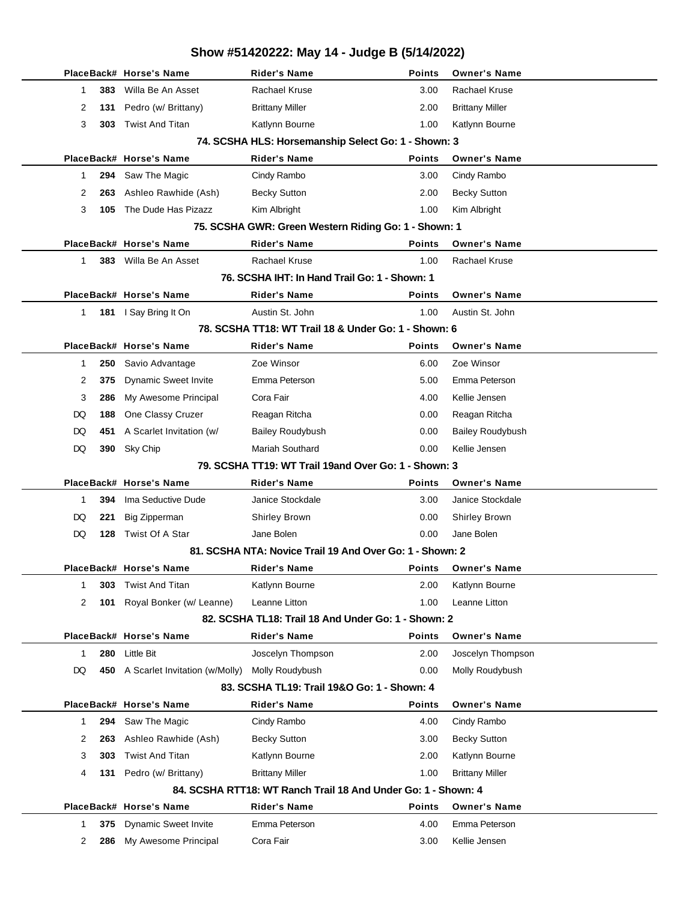|                                                               |     | PlaceBack# Horse's Name                      | Rider's Name                                             | <b>Points</b>  | <b>Owner's Name</b>                      |  |  |  |
|---------------------------------------------------------------|-----|----------------------------------------------|----------------------------------------------------------|----------------|------------------------------------------|--|--|--|
| 1                                                             | 383 | Willa Be An Asset                            | <b>Rachael Kruse</b>                                     | 3.00           | Rachael Kruse                            |  |  |  |
| 2                                                             | 131 | Pedro (w/ Brittany)                          | <b>Brittany Miller</b>                                   | 2.00           | <b>Brittany Miller</b>                   |  |  |  |
| 3                                                             | 303 | <b>Twist And Titan</b>                       | Katlynn Bourne                                           | 1.00           | Katlynn Bourne                           |  |  |  |
|                                                               |     |                                              | 74. SCSHA HLS: Horsemanship Select Go: 1 - Shown: 3      |                |                                          |  |  |  |
|                                                               |     | PlaceBack# Horse's Name                      | Rider's Name                                             | Points         | <b>Owner's Name</b>                      |  |  |  |
| 1                                                             | 294 | Saw The Magic                                | Cindy Rambo                                              | 3.00           | Cindy Rambo                              |  |  |  |
| 2                                                             | 263 | Ashleo Rawhide (Ash)                         | <b>Becky Sutton</b>                                      | 2.00           | <b>Becky Sutton</b>                      |  |  |  |
| 3                                                             | 105 | The Dude Has Pizazz                          | Kim Albright                                             | 1.00           | Kim Albright                             |  |  |  |
| 75. SCSHA GWR: Green Western Riding Go: 1 - Shown: 1          |     |                                              |                                                          |                |                                          |  |  |  |
|                                                               |     | PlaceBack# Horse's Name                      | <b>Rider's Name</b>                                      | <b>Points</b>  | <b>Owner's Name</b>                      |  |  |  |
| 1                                                             |     | 383 Willa Be An Asset                        | <b>Rachael Kruse</b>                                     | 1.00           | Rachael Kruse                            |  |  |  |
| 76. SCSHA IHT: In Hand Trail Go: 1 - Shown: 1                 |     |                                              |                                                          |                |                                          |  |  |  |
|                                                               |     | PlaceBack# Horse's Name                      | <b>Rider's Name</b>                                      | <b>Points</b>  | <b>Owner's Name</b>                      |  |  |  |
| $\mathbf{1}$                                                  |     | 181 I Say Bring It On                        | Austin St. John                                          | 1.00           | Austin St. John                          |  |  |  |
|                                                               |     |                                              | 78. SCSHA TT18: WT Trail 18 & Under Go: 1 - Shown: 6     |                |                                          |  |  |  |
|                                                               |     | PlaceBack# Horse's Name                      | <b>Rider's Name</b>                                      | Points         | <b>Owner's Name</b>                      |  |  |  |
| 1                                                             | 250 | Savio Advantage                              | Zoe Winsor                                               | 6.00           | Zoe Winsor                               |  |  |  |
| 2                                                             | 375 | <b>Dynamic Sweet Invite</b>                  | Emma Peterson                                            | 5.00           | Emma Peterson                            |  |  |  |
| 3                                                             | 286 | My Awesome Principal                         | Cora Fair                                                | 4.00           | Kellie Jensen                            |  |  |  |
| DQ                                                            | 188 | One Classy Cruzer                            | Reagan Ritcha                                            | 0.00           | Reagan Ritcha                            |  |  |  |
| DQ                                                            | 451 | A Scarlet Invitation (w/                     | <b>Bailey Roudybush</b>                                  | 0.00           | <b>Bailey Roudybush</b>                  |  |  |  |
| DQ                                                            | 390 | Sky Chip                                     | <b>Mariah Southard</b>                                   | 0.00           | Kellie Jensen                            |  |  |  |
|                                                               |     |                                              | 79. SCSHA TT19: WT Trail 19and Over Go: 1 - Shown: 3     |                |                                          |  |  |  |
|                                                               |     | PlaceBack# Horse's Name                      | <b>Rider's Name</b>                                      | Points         | <b>Owner's Name</b>                      |  |  |  |
| 1                                                             | 394 | Ima Seductive Dude                           | Janice Stockdale                                         | 3.00           | Janice Stockdale                         |  |  |  |
| DQ                                                            | 221 | Big Zipperman                                | <b>Shirley Brown</b>                                     | 0.00           | Shirley Brown                            |  |  |  |
| DQ                                                            | 128 | Twist Of A Star                              | Jane Bolen                                               | 0.00           | Jane Bolen                               |  |  |  |
|                                                               |     |                                              | 81. SCSHA NTA: Novice Trail 19 And Over Go: 1 - Shown: 2 |                |                                          |  |  |  |
|                                                               |     | PlaceBack# Horse's Name                      | <b>Rider's Name</b>                                      | Points         | <b>Owner's Name</b>                      |  |  |  |
| 1                                                             | 303 | <b>Twist And Titan</b>                       | Katlynn Bourne                                           | 2.00           | Katlynn Bourne                           |  |  |  |
| 2                                                             | 101 | Royal Bonker (w/ Leanne)                     | Leanne Litton                                            | 1.00           | Leanne Litton                            |  |  |  |
|                                                               |     |                                              | 82. SCSHA TL18: Trail 18 And Under Go: 1 - Shown: 2      |                |                                          |  |  |  |
| 1                                                             | 280 | PlaceBack# Horse's Name<br><b>Little Bit</b> | Rider's Name<br>Joscelyn Thompson                        | Points<br>2.00 | <b>Owner's Name</b><br>Joscelyn Thompson |  |  |  |
| DQ                                                            |     | 450 A Scarlet Invitation (w/Molly)           | Molly Roudybush                                          | 0.00           | Molly Roudybush                          |  |  |  |
|                                                               |     |                                              | 83. SCSHA TL19: Trail 19&O Go: 1 - Shown: 4              |                |                                          |  |  |  |
|                                                               |     | PlaceBack# Horse's Name                      | <b>Rider's Name</b>                                      | Points         | <b>Owner's Name</b>                      |  |  |  |
| $\mathbf{1}$                                                  | 294 | Saw The Magic                                | Cindy Rambo                                              | 4.00           | Cindy Rambo                              |  |  |  |
| 2                                                             | 263 | Ashleo Rawhide (Ash)                         | <b>Becky Sutton</b>                                      | 3.00           | <b>Becky Sutton</b>                      |  |  |  |
| 3                                                             | 303 | <b>Twist And Titan</b>                       | Katlynn Bourne                                           | 2.00           | Katlynn Bourne                           |  |  |  |
| 4                                                             | 131 | Pedro (w/ Brittany)                          | <b>Brittany Miller</b>                                   | 1.00           | <b>Brittany Miller</b>                   |  |  |  |
| 84. SCSHA RTT18: WT Ranch Trail 18 And Under Go: 1 - Shown: 4 |     |                                              |                                                          |                |                                          |  |  |  |
|                                                               |     | PlaceBack# Horse's Name                      | Rider's Name                                             | Points         | <b>Owner's Name</b>                      |  |  |  |
| 1                                                             | 375 | <b>Dynamic Sweet Invite</b>                  | Emma Peterson                                            | 4.00           | Emma Peterson                            |  |  |  |
| 2                                                             | 286 | My Awesome Principal                         | Cora Fair                                                | 3.00           | Kellie Jensen                            |  |  |  |
|                                                               |     |                                              |                                                          |                |                                          |  |  |  |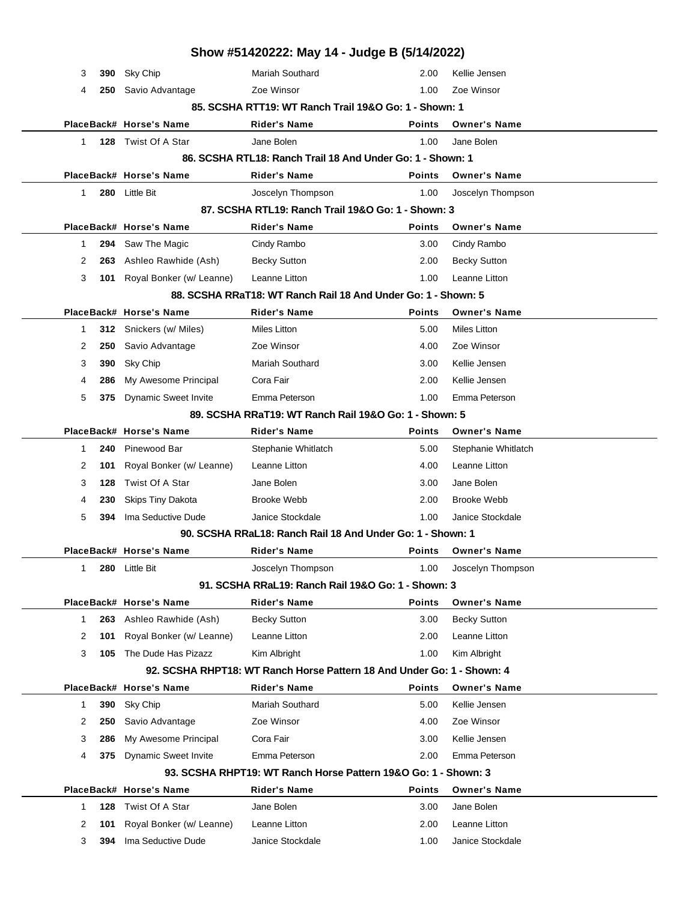| Show #51420222: May 14 - Judge B (5/14/2022)                           |     |                             |                                                               |               |                     |  |  |
|------------------------------------------------------------------------|-----|-----------------------------|---------------------------------------------------------------|---------------|---------------------|--|--|
| 3                                                                      | 390 | Sky Chip                    | <b>Mariah Southard</b>                                        | 2.00          | Kellie Jensen       |  |  |
| 4                                                                      | 250 | Savio Advantage             | Zoe Winsor                                                    | 1.00          | Zoe Winsor          |  |  |
| 85. SCSHA RTT19: WT Ranch Trail 19&O Go: 1 - Shown: 1                  |     |                             |                                                               |               |                     |  |  |
|                                                                        |     | PlaceBack# Horse's Name     | Rider's Name                                                  | <b>Points</b> | <b>Owner's Name</b> |  |  |
| 1                                                                      |     | 128 Twist Of A Star         | Jane Bolen                                                    | 1.00          | Jane Bolen          |  |  |
|                                                                        |     |                             | 86. SCSHA RTL18: Ranch Trail 18 And Under Go: 1 - Shown: 1    |               |                     |  |  |
|                                                                        |     | PlaceBack# Horse's Name     | <b>Rider's Name</b>                                           | <b>Points</b> | <b>Owner's Name</b> |  |  |
| 1                                                                      |     | 280 Little Bit              | Joscelyn Thompson                                             | 1.00          | Joscelyn Thompson   |  |  |
|                                                                        |     |                             | 87. SCSHA RTL19: Ranch Trail 19&O Go: 1 - Shown: 3            |               |                     |  |  |
|                                                                        |     | PlaceBack# Horse's Name     | Rider's Name                                                  | <b>Points</b> | <b>Owner's Name</b> |  |  |
| $\mathbf 1$                                                            | 294 | Saw The Magic               | Cindy Rambo                                                   | 3.00          | Cindy Rambo         |  |  |
| 2                                                                      | 263 | Ashleo Rawhide (Ash)        | <b>Becky Sutton</b>                                           | 2.00          | <b>Becky Sutton</b> |  |  |
| 3                                                                      | 101 | Royal Bonker (w/ Leanne)    | Leanne Litton                                                 | 1.00          | Leanne Litton       |  |  |
|                                                                        |     |                             | 88. SCSHA RRaT18: WT Ranch Rail 18 And Under Go: 1 - Shown: 5 |               |                     |  |  |
|                                                                        |     | PlaceBack# Horse's Name     | <b>Rider's Name</b>                                           | <b>Points</b> | <b>Owner's Name</b> |  |  |
| 1                                                                      | 312 | Snickers (w/ Miles)         | Miles Litton                                                  | 5.00          | <b>Miles Litton</b> |  |  |
| 2                                                                      | 250 | Savio Advantage             | Zoe Winsor                                                    | 4.00          | Zoe Winsor          |  |  |
| 3                                                                      | 390 | Sky Chip                    | <b>Mariah Southard</b>                                        | 3.00          | Kellie Jensen       |  |  |
| 4                                                                      | 286 | My Awesome Principal        | Cora Fair                                                     | 2.00          | Kellie Jensen       |  |  |
| 5                                                                      | 375 | <b>Dynamic Sweet Invite</b> | Emma Peterson                                                 | 1.00          | Emma Peterson       |  |  |
|                                                                        |     |                             | 89. SCSHA RRaT19: WT Ranch Rail 19&O Go: 1 - Shown: 5         |               |                     |  |  |
|                                                                        |     | PlaceBack# Horse's Name     | Rider's Name                                                  | <b>Points</b> | <b>Owner's Name</b> |  |  |
| $\mathbf{1}$                                                           | 240 | Pinewood Bar                | Stephanie Whitlatch                                           | 5.00          | Stephanie Whitlatch |  |  |
| 2                                                                      | 101 | Royal Bonker (w/ Leanne)    | Leanne Litton                                                 | 4.00          | Leanne Litton       |  |  |
| 3                                                                      | 128 | Twist Of A Star             | Jane Bolen                                                    | 3.00          | Jane Bolen          |  |  |
| 4                                                                      | 230 | Skips Tiny Dakota           | <b>Brooke Webb</b>                                            | 2.00          | <b>Brooke Webb</b>  |  |  |
| 5                                                                      | 394 | Ima Seductive Dude          | Janice Stockdale                                              | 1.00          | Janice Stockdale    |  |  |
|                                                                        |     |                             | 90. SCSHA RRaL18: Ranch Rail 18 And Under Go: 1 - Shown: 1    |               |                     |  |  |
|                                                                        |     | PlaceBack# Horse's Name     | Rider's Name                                                  | <b>Points</b> | <b>Owner's Name</b> |  |  |
| 1                                                                      | 280 | Little Bit                  | Joscelyn Thompson                                             | 1.00          | Joscelyn Thompson   |  |  |
|                                                                        |     |                             | 91. SCSHA RRaL19: Ranch Rail 19&O Go: 1 - Shown: 3            |               |                     |  |  |
|                                                                        |     | PlaceBack# Horse's Name     | <b>Rider's Name</b>                                           | <b>Points</b> | <b>Owner's Name</b> |  |  |
| $\mathbf 1$                                                            | 263 | Ashleo Rawhide (Ash)        | <b>Becky Sutton</b>                                           | 3.00          | <b>Becky Sutton</b> |  |  |
| 2                                                                      | 101 | Royal Bonker (w/ Leanne)    | Leanne Litton                                                 | 2.00          | Leanne Litton       |  |  |
| 3                                                                      | 105 | The Dude Has Pizazz         | Kim Albright                                                  | 1.00          | Kim Albright        |  |  |
| 92. SCSHA RHPT18: WT Ranch Horse Pattern 18 And Under Go: 1 - Shown: 4 |     |                             |                                                               |               |                     |  |  |
|                                                                        |     | PlaceBack# Horse's Name     | <b>Rider's Name</b>                                           | <b>Points</b> | <b>Owner's Name</b> |  |  |
| 1                                                                      | 390 | Sky Chip                    | <b>Mariah Southard</b>                                        | 5.00          | Kellie Jensen       |  |  |
| 2                                                                      | 250 | Savio Advantage             | Zoe Winsor                                                    | 4.00          | Zoe Winsor          |  |  |
| 3                                                                      | 286 | My Awesome Principal        | Cora Fair                                                     | 3.00          | Kellie Jensen       |  |  |
| 4                                                                      | 375 | <b>Dynamic Sweet Invite</b> | Emma Peterson                                                 | 2.00          | Emma Peterson       |  |  |
| 93. SCSHA RHPT19: WT Ranch Horse Pattern 19&O Go: 1 - Shown: 3         |     |                             |                                                               |               |                     |  |  |
|                                                                        |     | PlaceBack# Horse's Name     | <b>Rider's Name</b>                                           | <b>Points</b> | <b>Owner's Name</b> |  |  |
| 1                                                                      | 128 | Twist Of A Star             | Jane Bolen                                                    | 3.00          | Jane Bolen          |  |  |
| 2                                                                      | 101 | Royal Bonker (w/ Leanne)    | Leanne Litton                                                 | 2.00          | Leanne Litton       |  |  |
| 3                                                                      | 394 | Ima Seductive Dude          | Janice Stockdale                                              | 1.00          | Janice Stockdale    |  |  |